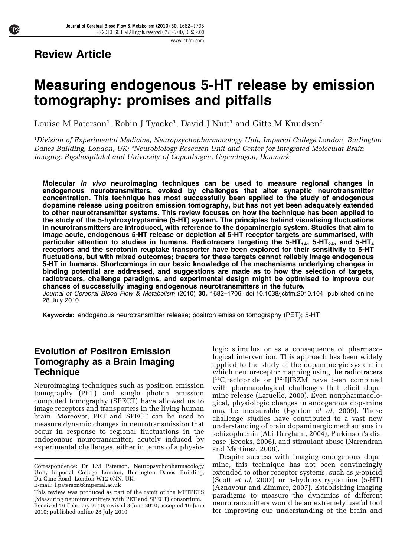[www.jcbfm.com](http://www.jcbfm.com)

# Review Article

# Measuring endogenous 5-HT release by emission tomography: promises and pitfalls

Louise M Paterson $^{\rm 1}$ , Robin J Tyacke $^{\rm 1}$ , David J Nutt $^{\rm 1}$  and Gitte M Knudsen $^{\rm 2}$ 

1 Division of Experimental Medicine, Neuropsychopharmacology Unit, Imperial College London, Burlington Danes Building, London, UK; <sup>2</sup>Neurobiology Research Unit and Center for Integrated Molecular Brain Imaging, Rigshospitalet and University of Copenhagen, Copenhagen, Denmark

Molecular in vivo neuroimaging techniques can be used to measure regional changes in endogenous neurotransmitters, evoked by challenges that alter synaptic neurotransmitter concentration. This technique has most successfully been applied to the study of endogenous dopamine release using positron emission tomography, but has not yet been adequately extended to other neurotransmitter systems. This review focuses on how the technique has been applied to the study of the 5-hydroxytryptamine (5-HT) system. The principles behind visualising fluctuations in neurotransmitters are introduced, with reference to the dopaminergic system. Studies that aim to image acute, endogenous 5-HT release or depletion at 5-HT receptor targets are summarised, with particular attention to studies in humans. Radiotracers targeting the 5-HT<sub>1A</sub>, 5-HT<sub>2A</sub>, and 5-HT<sub>4</sub> receptors and the serotonin reuptake transporter have been explored for their sensitivity to 5-HT fluctuations, but with mixed outcomes; tracers for these targets cannot reliably image endogenous 5-HT in humans. Shortcomings in our basic knowledge of the mechanisms underlying changes in binding potential are addressed, and suggestions are made as to how the selection of targets, radiotracers, challenge paradigms, and experimental design might be optimised to improve our chances of successfully imaging endogenous neurotransmitters in the future.

Journal of Cerebral Blood Flow & Metabolism (2010) 30, 1682-1706; doi:[10.1038/jcbfm.2010.104;](http://dx.doi.org/10.1038/jcbfm.2010.104) published online 28 July 2010

Keywords: endogenous neurotransmitter release; positron emission tomography (PET); 5-HT

# Evolution of Positron Emission Tomography as a Brain Imaging Technique

Neuroimaging techniques such as positron emission tomography (PET) and single photon emission computed tomography (SPECT) have allowed us to image receptors and transporters in the living human brain. Moreover, PET and SPECT can be used to measure dynamic changes in neurotransmission that occur in response to regional fluctuations in the endogenous neurotransmitter, acutely induced by experimental challenges, either in terms of a physiologic stimulus or as a consequence of pharmacological intervention. This approach has been widely applied to the study of the dopaminergic system in which neuroreceptor mapping using the radiotracers [<sup>11</sup>C]raclopride or [<sup>123</sup>I]IBZM have been combined with pharmacological challenges that elicit dopamine release ([Laruelle, 2000\)](#page-21-0). Even nonpharmacological, physiologic changes in endogenous dopamine may be measurable [\(Egerton](#page-20-0) *et al*, 2009). These challenge studies have contributed to a vast new understanding of brain dopaminergic mechanisms in schizophrenia [\(Abi-Dargham, 2004\)](#page-19-0), Parkinson's disease ([Brooks, 2006\)](#page-19-0), and stimulant abuse [\(Narendran](#page-22-0) [and Martinez, 2008\)](#page-22-0).

Despite success with imaging endogenous dopamine, this technique has not been convincingly extended to other receptor systems, such as  $\mu$ -opioid (Scott et al[, 2007](#page-23-0)) or 5-hydroxytryptamine (5-HT) [\(Aznavour and Zimmer, 2007](#page-19-0)). Establishing imaging paradigms to measure the dynamics of different neurotransmitters would be an extremely useful tool

Correspondence: Dr LM Paterson, Neuropsychopharmacology Unit, Imperial College London, Burlington Danes Building, Du Cane Road, London W12 0NN, UK.

E-mail: [l.paterson@imperial.ac.uk](mailto:l.paterson@imperial.ac.uk)

Received 16 February 2010; revised 3 June 2010; accepted 16 June neurotransmitters would be an extremely useful tool<br>2010; published online 28 July 2010 2010; published online 28 July 2010 This review was produced as part of the remit of the METPETS (Measuring neurotransmitters with PET and SPECT) consortium.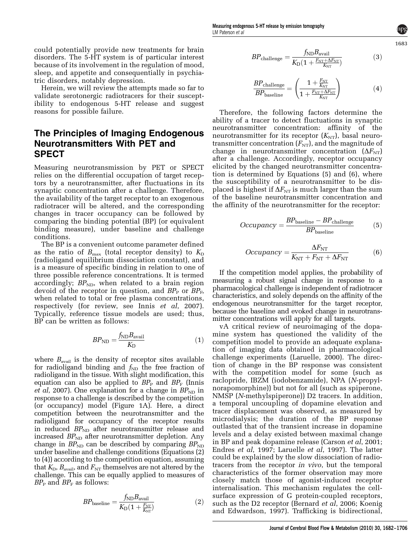could potentially provide new treatments for brain disorders. The 5-HT system is of particular interest because of its involvement in the regulation of mood, sleep, and appetite and consequentially in psychiatric disorders, notably depression.

Herein, we will review the attempts made so far to validate serotonergic radiotracers for their susceptibility to endogenous 5-HT release and suggest reasons for possible failure.

# The Principles of Imaging Endogenous Neurotransmitters With PET and SPECT

Measuring neurotransmission by PET or SPECT relies on the differential occupation of target receptors by a neurotransmitter, after fluctuations in its synaptic concentration after a challenge. Therefore, the availability of the target receptor to an exogenous radiotracer will be altered, and the corresponding changes in tracer occupancy can be followed by comparing the binding potential (BP) (or equivalent binding measure), under baseline and challenge conditions.

The BP is a convenient outcome parameter defined as the ratio of  $B_{\text{max}}$  (total receptor density) to  $K_{\text{D}}$ (radioligand equilibrium dissociation constant), and is a measure of specific binding in relation to one of three possible reference concentrations. It is termed accordingly;  $BP_{ND}$ , when related to a brain region devoid of the receptor in question, and  $BP<sub>P</sub>$  or  $BP<sub>F</sub>$ , when related to total or free plasma concentrations, respectively (for review, see Innis et al[, 2007\)](#page-21-0). Typically, reference tissue models are used; thus, BP can be written as follows:

$$
BP_{\rm ND} = \frac{f_{\rm ND}B_{\rm avail}}{K_{\rm D}}\tag{1}
$$

where  $B_{\text{avail}}$  is the density of receptor sites available for radioligand binding and  $f_{ND}$  the free fraction of radioligand in the tissue. With slight modification, this equation can also be applied to  $BP<sub>F</sub>$  and  $BP<sub>F</sub>$  [\(Innis](#page-21-0) *et al*[, 2007](#page-21-0)). One explanation for a change in  $BP<sub>ND</sub>$  in response to a challenge is described by the competition (or occupancy) model [\(Figure 1A\)](#page-3-0). Here, a direct competition between the neurotransmitter and the radioligand for occupancy of the receptor results in reduced  $BP_{ND}$  after neurotransmitter release and increased  $BP_{ND}$  after neurotransmitter depletion. Any change in  $BP_{ND}$  can be described by comparing  $BP_{ND}$ under baseline and challenge conditions (Equations (2) to (4)) according to the competition equation, assuming that  $K_{\text{D}}$ ,  $B_{\text{avail}}$ , and  $F_{\text{NT}}$  themselves are not altered by the challenge. This can be equally applied to measures of  $BP_{\rm P}$  and  $BP_{\rm F}$  as follows:

$$
BP_{\text{baseline}} = \frac{f_{\text{ND}}B_{\text{avail}}}{K_{\text{D}}(1 + \frac{F_{\text{NT}}}{K_{\text{NT}}})}
$$
(2)

$$
BP_{\text{challenge}} = \frac{f_{\text{ND}}B_{\text{avail}}}{K_{\text{D}}(1 + \frac{F_{\text{NT}} + \Delta F_{\text{NT}}}{K_{\text{NT}}})}
$$
(3)

$$
\frac{BP_{\text{challenge}}}{BP_{\text{baseline}}} = \left(\frac{1 + \frac{F_{\text{NT}}}{K_{\text{NT}}}}{1 + \frac{F_{\text{NT}} + \Delta F_{\text{NT}}}{K_{\text{NT}}}}\right) \tag{4}
$$

Therefore, the following factors determine the ability of a tracer to detect fluctuations in synaptic neurotransmitter concentration: affinity of the neurotransmitter for its receptor  $(K_{\text{NT}})$ , basal neurotransmitter concentration  $(F<sub>NT</sub>)$ , and the magnitude of change in neurotransmitter concentration  $(\Delta F_{NT})$ after a challenge. Accordingly, receptor occupancy elicited by the changed neurotransmitter concentration is determined by Equations (5) and (6), where the susceptibility of a neurotransmitter to be displaced is highest if  $\Delta F_{NT}$  is much larger than the sum of the baseline neurotransmitter concentration and the affinity of the neurotransmitter for the receptor:

$$
Occupancy = \frac{BP_{\text{baseline}} - BP_{\text{challenge}}}{BP_{\text{baseline}}}
$$
 (5)

$$
Occupancy = \frac{\Delta F_{\rm NT}}{K_{\rm NT} + F_{\rm NT} + \Delta F_{\rm NT}}
$$
(6)

If the competition model applies, the probability of measuring a robust signal change in response to a pharmacological challenge is independent of radiotracer characteristics, and solely depends on the affinity of the endogenous neurotransmitter for the target receptor, because the baseline and evoked change in neurotransmitter concentrations will apply for all targets.

vA critical review of neuroimaging of the dopamine system has questioned the validity of the competition model to provide an adequate explanation of imaging data obtained in pharmacological challenge experiments ([Laruelle, 2000](#page-21-0)). The direction of change in the BP response was consistent with the competition model for some (such as raclopride, IBZM (iodobenzamide), NPA (N-propylnorapomorphine)) but not for all (such as spiperone, NMSP (N-methylspiperone)) D2 tracers. In addition, a temporal uncoupling of dopamine elevation and tracer displacement was observed, as measured by microdialysis; the duration of the BP response outlasted that of the transient increase in dopamine levels and a delay existed between maximal change in BP and peak dopamine release ([Carson](#page-20-0) et al, 2001; [Endres](#page-20-0) et al, 1997; [Laruelle](#page-21-0) et al, 1997). The latter could be explained by the slow dissociation of radiotracers from the receptor in vivo, but the temporal characteristics of the former observation may more closely match those of agonist-induced receptor internalisation. This mechanism regulates the cellsurface expression of G protein-coupled receptors, such as the D2 receptor ([Bernard](#page-19-0) et al, 2006; [Koenig](#page-21-0) [and Edwardson, 1997\)](#page-21-0). Trafficking is bidirectional,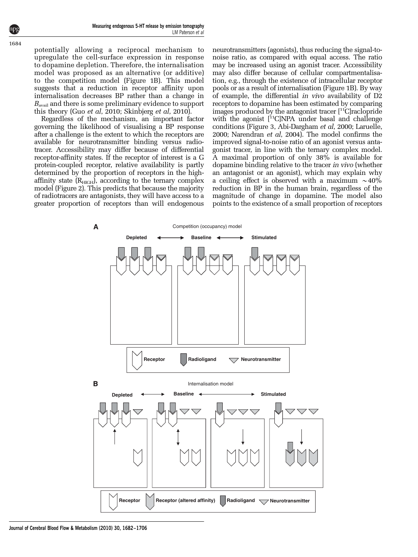potentially allowing a reciprocal mechanism to upregulate the cell-surface expression in response to dopamine depletion. Therefore, the internalisation model was proposed as an alternative (or additive) to the competition model ([Figure 1B](#page-3-0)). This model suggests that a reduction in receptor affinity upon internalisation decreases BP rather than a change in  $B_{\text{avail}}$  and there is some preliminary evidence to support this theory (Guo et al[, 2010;](#page-20-0) [Skinbjerg](#page-23-0) et al, 2010).

Regardless of the mechanism, an important factor governing the likelihood of visualising a BP response after a challenge is the extent to which the receptors are available for neurotransmitter binding versus radiotracer. Accessibility may differ because of differential receptor-affinity states. If the receptor of interest is a G protein-coupled receptor, relative availability is partly determined by the proportion of receptors in the highaffinity state  $(R<sub>HIGH</sub>)$ , according to the ternary complex model ([Figure 2\)](#page-3-0). This predicts that because the majority of radiotracers are antagonists, they will have access to a greater proportion of receptors than will endogenous neurotransmitters (agonists), thus reducing the signal-tonoise ratio, as compared with equal access. The ratio may be increased using an agonist tracer. Accessibility may also differ because of cellular compartmentalisation, e.g., through the existence of intracellular receptor pools or as a result of internalisation [\(Figure 1B\)](#page-3-0). By way of example, the differential in vivo availability of D2 receptors to dopamine has been estimated by comparing images produced by the antagonist tracer [11C]raclopride with the agonist  $[$ <sup>11</sup>C<sub>l</sub>NPA under basal and challenge conditions ([Figure 3](#page-4-0), [Abi-Dargham](#page-19-0) et al, 2000; [Laruelle,](#page-21-0) [2000;](#page-21-0) [Narendran](#page-22-0) et al, 2004). The model confirms the improved signal-to-noise ratio of an agonist versus antagonist tracer, in line with the ternary complex model. A maximal proportion of only 38% is available for dopamine binding relative to the tracer in vivo (whether an antagonist or an agonist), which may explain why a ceiling effect is observed with a maximum  $\sim$  40% reduction in BP in the human brain, regardless of the magnitude of change in dopamine. The model also points to the existence of a small proportion of receptors

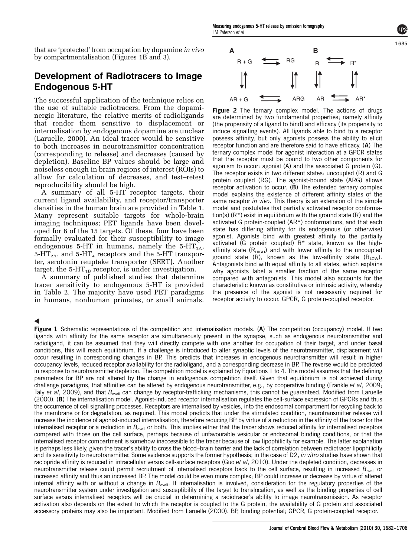<span id="page-3-0"></span>that are 'protected' from occupation by dopamine in vivo by compartmentalisation (Figures 1B and 3).

# Development of Radiotracers to Image Endogenous 5-HT

The successful application of the technique relies on the use of suitable radiotracers. From the dopaminergic literature, the relative merits of radioligands that render them sensitive to displacement or internalisation by endogenous dopamine are unclear [\(Laruelle, 2000\)](#page-21-0). An ideal tracer would be sensitive to both increases in neurotransmitter concentration (corresponding to release) and decreases (caused by depletion). Baseline BP values should be large and noiseless enough in brain regions of interest (ROIs) to allow for calculation of decreases, and test–retest reproducibility should be high.

A summary of all 5-HT receptor targets, their current ligand availability, and receptor/transporter densities in the human brain are provided in [Table 1](#page-5-0). Many represent suitable targets for whole-brain imaging techniques; PET ligands have been developed for 6 of the 15 targets. Of these, four have been formally evaluated for their susceptibility to image endogenous 5-HT in humans, namely the  $5$ -HT<sub>1A</sub>,  $5-HT<sub>2A</sub>$ , and  $5-HT<sub>4</sub>$  receptors and the 5-HT transporter, serotonin reuptake transporter (SERT). Another target, the  $5-HT_{1B}$  receptor, is under investigation.

A summary of published studies that determine tracer sensitivity to endogenous 5-HT is provided in [Table 2.](#page-6-0) The majority have used PET paradigms in humans, nonhuman primates, or small animals.



1685

Figure 2 The ternary complex model. The actions of drugs are determined by two fundamental properties; namely affinity (the propensity of a ligand to bind) and efficacy (its propensity to induce signalling events). All ligands able to bind to a receptor possess affinity, but only agonists possess the ability to elicit receptor function and are therefore said to have efficacy. (A) The ternary complex model for agonist interaction at a GPCR states that the receptor must be bound to two other components for agonism to occur: agonist (A) and the associated G protein (G). The receptor exists in two different states: uncoupled (R) and G protein coupled (RG). The agonist-bound state (ARG) allows receptor activation to occur. (B) The extended ternary complex model explains the existence of different affinity states of the same receptor in vivo. This theory is an extension of the simple model and postulates that partially activated receptor conformation(s) (R\*) exist in equilibrium with the ground state (R) and the activated G protein-coupled (AR\*) conformations, and that each state has differing affinity for its endogenous (or otherwise) agonist. Agonists bind with greatest affinity to the partially activated (G protein coupled) R\* state, known as the highaffinity state ( $R<sub>HIGH</sub>$ ) and with lower affinity to the uncoupled ground state (R), known as the low-affinity state ( $R_{LOW}$ ). Antagonists bind with equal affinity to all states, which explains why agonists label a smaller fraction of the same receptor compared with antagonists. This model also accounts for the characteristic known as constitutive or intrinsic activity, whereby the presence of the agonist is not necessarily required for receptor activity to occur. GPCR, G protein-coupled receptor.

Figure 1 Schematic representations of the competition and internalisation models. (A) The competition (occupancy) model. If two ligands with affinity for the same receptor are simultaneously present in the synapse, such as endogenous neurotransmitter and radioligand, it can be assumed that they will directly compete with one another for occupation of their target, and under basal conditions, this will reach equilibrium. If a challenge is introduced to alter synaptic levels of the neurotransmitter, displacement will occur resulting in corresponding changes in BP. This predicts that increases in endogenous neurotransmitter will result in higher occupancy levels, reduced receptor availability for the radioligand, and a corresponding decrease in BP. The reverse would be predicted in response to neurotransmitter depletion. The competition model is explained by Equations 1 to 4. The model assumes that the defining parameters for BP are not altered by the change in endogenous competition itself. Given that equilibrium is not achieved during challenge paradigms, that affinities can be altered by endogenous neurotransmitter, e.g., by cooperative binding [\(Frankle](#page-20-0) et al, 2009; Taly et al[, 2009\)](#page-23-0), and that  $B_{\text{avail}}$  can change by receptor-trafficking mechanisms, this cannot be guaranteed. Modified from [Laruelle](#page-21-0) [\(2000\).](#page-21-0) (B) The internalisation model. Agonist-induced receptor internalisation regulates the cell-surface expression of GPCRs and thus the occurrence of cell signalling processes. Receptors are internalised by vesicles, into the endosomal compartment for recycling back to the membrane or for degradation, as required. This model predicts that under the stimulated condition, neurotransmitter release will increase the incidence of agonist-induced internalisation, therefore reducing BP by virtue of a reduction in the affinity of the tracer for the internalised receptor or a reduction in  $B_{\text{avail}}$  or both. This implies either that the tracer shows reduced affinity for internalised receptors compared with those on the cell surface, perhaps because of unfavourable vesicular or endosomal binding conditions, or that the internalised receptor compartment is somehow inaccessible to the tracer because of low lipophilicity for example. The latter explanation is perhaps less likely, given the tracer's ability to cross the blood–brain barrier and the lack of correlation between radiotracer lipophilicity and its sensitivity to neurotransmitter. Some evidence supports the former hypothesis; in the case of D2, in vitro studies have shown that raclopride affinity is reduced in intracellular versus cell-surface receptors (Guo et al[, 2010](#page-20-0)). Under the depleted condition, decreases in neurotransmitter release could permit recruitment of internalised receptors back to the cell surface, resulting in increased  $B_{\text{avail}}$  or increased affinity and thus an increased BP. The model could be even more complex; BP could increase or decrease by virtue of altered internal affinity with or without a change in  $B_{\text{avail}}$ . If internalisation is involved, consideration for the regulatory properties of the neurotransmitter system under investigation and susceptibility of the target to translocation, as well as the binding properties of cell surface versus internalised receptors will be crucial in determining a radiotracer's ability to image neurotransmission. As receptor activation also depends on the extent to which the receptor is coupled to the G protein, the availability of G protein and associated accessory proteins may also be important. Modified from [Laruelle \(2000\)](#page-21-0). BP, binding potential; GPCR, G protein-coupled receptor.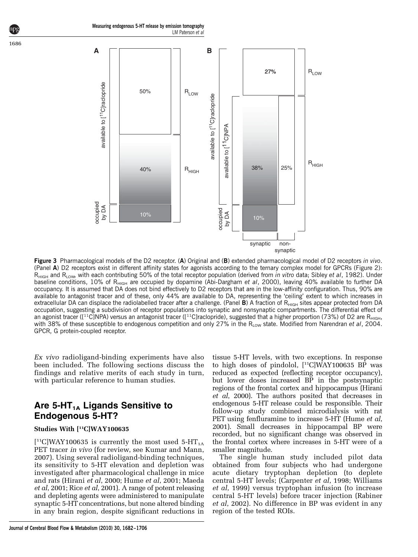<span id="page-4-0"></span>

Figure 3 Pharmacological models of the D2 receptor. (A) Original and (B) extended pharmacological model of D2 receptors in vivo. (Panel A) D2 receptors exist in different affinity states for agonists according to the ternary complex model for GPCRs [\(Figure 2](#page-3-0)):  $R_{HIGH}$  and  $R_{LOW}$ , with each contributing 50% of the total receptor population (derived from in vitro data; Sibley et al[, 1982\)](#page-23-0). Under baseline conditions, 10% of  $R_{HIGH}$  are occupied by dopamine ([Abi-Dargham](#page-19-0) et al, 2000), leaving 40% available to further DA occupancy. It is assumed that DA does not bind effectively to D2 receptors that are in the low-affinity configuration. Thus, 90% are available to antagonist tracer and of these, only 44% are available to DA, representing the 'ceiling' extent to which increases in extracellular DA can displace the radiolabelled tracer after a challenge. (Panel B) A fraction of R<sub>HIGH</sub> sites appear protected from DA occupation, suggesting a subdivision of receptor populations into synaptic and nonsynaptic compartments. The differential effect of an agonist tracer ( $\lceil 11 \text{C} \rceil NPA$ ) versus an antagonist tracer ( $\lceil 11 \text{C} \rceil$ raclopride), suggested that a higher proportion (73%) of D2 are R<sub>HIGH</sub>, with 38% of these susceptible to endogenous competition and only 27% in the R<sub>LOW</sub> state. Modified from [Narendran](#page-22-0) et al, 2004. GPCR, G protein-coupled receptor.

Ex vivo radioligand-binding experiments have also been included. The following sections discuss the findings and relative merits of each study in turn, with particular reference to human studies.

# Are 5-HT<sub>1A</sub> Ligands Sensitive to Endogenous 5-HT?

## Studies With [<sup>11</sup>C]WAY100635

[ $^{11}$ C]WAY100635 is currently the most used 5-HT<sub>1A</sub> PET tracer in vivo (for review, see [Kumar and Mann,](#page-21-0) [2007\)](#page-21-0). Using several radioligand-binding techniques, its sensitivity to 5-HT elevation and depletion was investigated after pharmacological challenge in mice and rats ([Hirani](#page-20-0) et al, 2000; Hume et al[, 2001; Maeda](#page-21-0) et al[, 2001;](#page-21-0) Rice et al[, 2001](#page-23-0)). A range of potent releasing and depleting agents were administered to manipulate synaptic 5-HT concentrations, but none altered binding in any brain region, despite significant reductions in tissue 5-HT levels, with two exceptions. In response to high doses of pindolol,  $[11C]$ WAY100635 BP was reduced as expected (reflecting receptor occupancy), but lower doses increased BP in the postsynaptic regions of the frontal cortex and hippocampus ([Hirani](#page-20-0) et al[, 2000](#page-20-0)). The authors posited that decreases in endogenous 5-HT release could be responsible. Their follow-up study combined microdialysis with rat PET using fenfluramine to increase 5-HT [\(Hume](#page-21-0) *et al*, [2001](#page-21-0)). Small decreases in hippocampal BP were recorded, but no significant change was observed in the frontal cortex where increases in 5-HT were of a smaller magnitude.

The single human study included pilot data obtained from four subjects who had undergone acute dietary tryptophan depletion (to deplete central 5-HT levels; ([Carpenter](#page-19-0) et al, 1998; [Williams](#page-24-0) et al[, 1999\)](#page-24-0) versus tryptophan infusion (to increase central 5-HT levels) before tracer injection [\(Rabiner](#page-23-0) et al[, 2002](#page-23-0)). No difference in BP was evident in any region of the tested ROIs.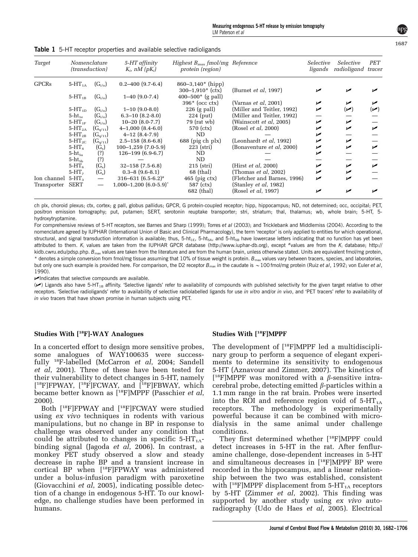| Target       | Nomenclature<br>(transduction) |                          | 5-HT affinity<br>$K_i$ , nM $(pK_i)$ | Highest $B_{max}$ fmol/mg Reference<br>protein (region) |                                   | Selective<br>ligands | Selective<br>radioligand | <b>PET</b><br>tracer |
|--------------|--------------------------------|--------------------------|--------------------------------------|---------------------------------------------------------|-----------------------------------|----------------------|--------------------------|----------------------|
| <b>GPCRs</b> | $5-HT_{1A}$                    | $(G_{i/0})$              | $0.2 - 400$ (9.7-6.4)                | $860 - 3,140$ <sup>*</sup> (hipp)                       |                                   |                      |                          |                      |
|              |                                |                          |                                      | $300-1,910*$ (ctx)                                      | (Burnet <i>et al.</i> 1997)       |                      |                          |                      |
|              | $5-HT_{1B}$                    | $(G_{i/\mathrm{o}})$     | $1 - 40$ (9.0-7.4)                   | $400 - 500^*$ (g pall)                                  |                                   |                      |                          |                      |
|              |                                |                          |                                      | $396*$ (occ ctx)                                        | (Varnas $et$ $al$ , 2001)         | مما                  |                          |                      |
|              | $5-HT_{1D}$                    | $(G_{i\wedge n})$        | $1 - 10(9.0 - 8.0)$                  | $226$ (g pall)                                          | (Miller and Teitler, 1992)        | مما                  | (مما                     | (معا                 |
|              | $5-ht_{1e}$                    | $(G_{i/0})$              | $6.3 - 10(8.2 - 8.0)$                | $224$ (put)                                             | (Miller and Teitler, 1992)        |                      |                          |                      |
|              | $5-HT_{1F}$                    | $(G_{i/0})$              | $10 - 20$ (8.0-7.7)                  | 79 (rat wb)                                             | (Wainscott et al, 2005)           |                      |                          |                      |
|              | $5-HT_{2A}$                    | $(G_{q/11})$             | $4-1,000$ $(8.4-6.0)$                | 570 (ctx)                                               | (Rosel <i>et al.</i> 2000)        | مما                  |                          | مما                  |
|              | $5-HT_{2B}$                    | $(G_{q/11})$             | $4-12$ $(8.4-7.9)$                   | ND                                                      |                                   |                      |                          |                      |
|              | $5-HT_{2C}$                    | $(G_{q/11})$             | $2.5 - 158$ (8.6-6.8)                | $688$ (pig ch plx)                                      | (Leonhardt et al, 1992)           | مما                  |                          |                      |
|              | $5-HT4$                        | $(G_s)$                  | $100 - 1,259$ (7.0-5.9)              | $223$ (stri)                                            | (Bonaventure <i>et al</i> , 2000) |                      |                          |                      |
|              | $5-ht_{5a}$                    | (?)                      | $126 - 199(6.9 - 6.7)$               | ND                                                      |                                   | مما                  |                          |                      |
|              | $5-ht_{5h}$                    | (?)                      |                                      | ND                                                      |                                   |                      |                          |                      |
|              | $5-HT6$                        | $(G_s)$                  | $32 - 158$ (7.5-6.8)                 | $215$ (stri)                                            | (Hirst <i>et al</i> , 2000)       | ✔                    |                          | مما                  |
|              | $5-HT7$                        | $(G_s)$                  | $0.3 - 8$ (9.6-8.1)                  | 68 (thal)                                               | (Thomas <i>et al</i> , 2002)      |                      |                          |                      |
| Ion channel  | $5-HT3$                        | $\overline{\phantom{m}}$ | $316 - 631 (6.5 - 6.2)^*$            | $465$ (pig ctx)                                         | (Fletcher and Barnes, 1996)       | مما                  | مما                      |                      |
| Transporter  | SERT                           | $\hspace{0.05cm}$        | $1,000-1,200$ $(6.0-5.9)^{*}$        | 587 (ctx)                                               | (Stanley <i>et al</i> , 1982)     |                      |                          |                      |
|              |                                |                          |                                      | 682 (thal)                                              | (Rosel <i>et al.</i> 1997)        |                      |                          |                      |

<span id="page-5-0"></span>**Table 1** 5-HT receptor properties and available selective radioligands

ch plx, choroid plexus; ctx, cortex; g pall, globus pallidus; GPCR, G protein-coupled receptor; hipp, hippocampus; ND, not determined; occ, occipital; PET, positron emission tomography; put, putamen; SERT, serotonin reuptake transporter; stri, striatum; thal, thalamus; wb, whole brain; 5-HT, 5 hydroxytryptamine.

For comprehensive reviews of 5-HT receptors, see [Barnes and Sharp \(1999\); Torres](#page-19-0) et al (2003); and [Tricklebank and Middlemiss \(2004\).](#page-23-0) According to the nomenclature agreed by IUPHAR (International Union of Basic and Clinical Pharmacology), the term 'receptor' is only applied to entities for which operational, structural, and signal transduction information is available; thus, 5-ht $_{LE}$ , 5-ht<sub>5A</sub>, and 5-ht<sub>5B</sub> have lowercase letters indicating that no function has yet been attributed to them. K<sub>i</sub> values are taken from the IUPHAR GPCR database (http://www.iuphar-db.org), except #values are from the K<sub>i</sub> database; http:// kidb.cwru.edu/pdsp.php.  $B_{\text{max}}$  values are taken from the literature and are from the human brain, unless otherwise stated. Units are equivalent fmol/mg protein,  $*$  denotes a simple conversion from fmol/mg tissue assuming that 10% of tissue weight is protein.  $B<sub>max</sub>$  values vary between tracers, species, and laboratories, but only one such example is provided here. For comparison, the D2 receptor  $B_{\text{max}}$  in the caudate is  $\sim$  100 fmol/mg protein (Ruiz et al[, 1992;](#page-23-0) [von Euler](#page-24-0) et al, [1990\)](#page-24-0).

 $\blacktriangleright$ Indicates that selective compounds are available.

(w) Ligands also have 5-HT<sub>1B</sub> affinity. 'Selective ligands' refer to availability of compounds with published selectivity for the given target relative to other receptors. 'Selective radioligands' refer to availability of selective radiolabelled ligands for use in vitro and/or in vivo, and 'PET tracers' refer to availability of in vivo tracers that have shown promise in human subjects using PET.

### Studies With [18F]-WAY Analogues

In a concerted effort to design more sensitive probes, some analogues of WAY100635 were successfully 18F-labelled [\(McCarron](#page-22-0) et al, 2004; [Sandell](#page-23-0) et al[, 2001](#page-23-0)). Three of these have been tested for their vulnerability to detect changes in 5-HT, namely [<sup>18</sup>F]FPWAY, [<sup>18</sup>F]FCWAY, and [<sup>18</sup>F]FBWAY, which became better known as [<sup>18</sup>F]MPPF [\(Passchier](#page-22-0) et al, [2000\)](#page-22-0).

Both [18F]FPWAY and [18F]FCWAY were studied using ex vivo techniques in rodents with various manipulations, but no change in BP in response to challenge was observed under any condition that could be attributed to changes in specific  $5-HT_{1A}$ binding signal (Jagoda et al[, 2006](#page-21-0)). In contrast, a monkey PET study observed a slow and steady decrease in raphe BP and a transient increase in cortical BP when [18F]FPWAY was administered under a bolus-infusion paradigm with paroxetine [\(Giovacchini](#page-20-0) et al, 2005), indicating possible detection of a change in endogenous 5-HT. To our knowledge, no challenge studies have been performed in humans.

### Studies With [18F]MPPF

The development of  $[$ <sup>18</sup>F MPPF led a multidisciplinary group to perform a sequence of elegant experiments to determine its sensitivity to endogenous 5-HT ([Aznavour and Zimmer, 2007\)](#page-19-0). The kinetics of [<sup>18</sup>F]MPPF was monitored with a  $\beta$ -sensitive intracerebral probe, detecting emitted  $\beta$ -particles within a 1.1 mm range in the rat brain. Probes were inserted into the ROI and reference region void of  $5-HT_{1A}$ receptors. The methodology is experimentally powerful because it can be combined with microdialysis in the same animal under challenge conditions.

They first determined whether [18F]MPPF could detect increases in 5-HT in the rat. After fenfluramine challenge, dose-dependent increases in 5-HT and simultaneous decreases in [18F]MPPF BP were recorded in the hippocampus, and a linear relationship between the two was established, consistent with  $[$ <sup>18</sup>F]MPPF displacement from 5-HT<sub>1A</sub> receptors by 5-HT ([Zimmer](#page-24-0) et al, 2002). This finding was supported by another study using *ex vivo* autoradiography [\(Udo de Haes](#page-24-0) et al, 2005). Electrical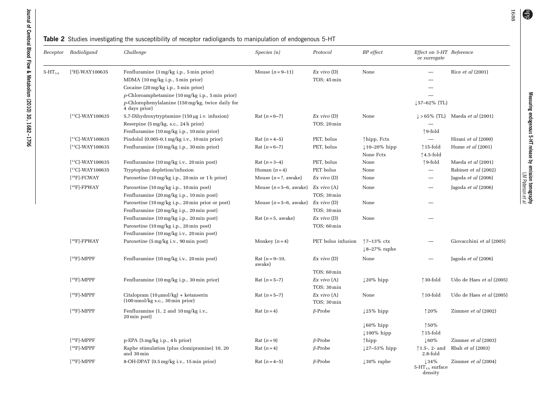<span id="page-6-0"></span>

| Table 2 Studies investigating the susceptibility of receptor radioligands to manipulation of endogenous 5-HT |
|--------------------------------------------------------------------------------------------------------------|
|--------------------------------------------------------------------------------------------------------------|

|             | Receptor Radioligand           | Challenge                                                                                                    | Species (n)                    | Protocol                       | <b>BP</b> effect                          | Effect on 5-HT Reference<br>or surrogate            |                                                   |
|-------------|--------------------------------|--------------------------------------------------------------------------------------------------------------|--------------------------------|--------------------------------|-------------------------------------------|-----------------------------------------------------|---------------------------------------------------|
| $5-HT_{1A}$ | [ <sup>3</sup> H]-WAY100635    | Fenfluramine (3 mg/kg i.p., 5 min prior)                                                                     | Mouse $(n = 9 - 11)$           | $Ex$ vivo $(D)$                | None                                      | $\overline{\phantom{0}}$                            | Rice et al (2001)                                 |
|             |                                | MDMA (10 mg/kg i.p., 5 min prior)                                                                            |                                | TOS: 45 min                    |                                           |                                                     |                                                   |
|             |                                | Cocaine (20 mg/kg i.p., 5 min prior)                                                                         |                                |                                |                                           |                                                     |                                                   |
|             |                                | p-Chloroamphetamine (10 mg/kg i.p., 5 min prior)                                                             |                                |                                |                                           |                                                     |                                                   |
|             |                                | $p$ -Chlorophenylalanine (150 mg/kg, twice daily for<br>4 days prior)                                        |                                |                                |                                           | $157 - 62\%$ (TL)                                   |                                                   |
|             | $[$ <sup>11</sup> C]-WAY100635 | 5,7-Dihydroxytryptamine (150 μg i.v. infusion)                                                               | Rat $(n=6-7)$                  | $Ex$ vivo $(D)$                | None                                      |                                                     | $\downarrow$ > 65% (TL) Maeda <i>et al</i> (2001) |
|             |                                | Reserpine (5 mg/kg, s.c., 24 h prior)                                                                        |                                | TOS; 20 min                    |                                           |                                                     |                                                   |
|             |                                | Fenfluramine (10 mg/kg i.p., 10 min prior)                                                                   |                                |                                |                                           | $\uparrow$ 9-fold                                   |                                                   |
|             | $[$ <sup>11</sup> C]-WAY100635 | Pindolol (0.005-0.1 mg/kg i.v., 10 min prior)                                                                | Rat $(n=4-5)$                  | PET, bolus                     | $\uparrow$ hipp, Fctx                     | $\overline{\phantom{0}}$                            | Hirani et al (2000)                               |
|             | $[$ <sup>11</sup> C]-WAY100635 | Fenfluramine (10 mg/kg i.p., 30 min prior)                                                                   | Rat $(n=6-7)$                  | PET, bolus                     | 10-20% hipp<br>None Fctx                  | $\uparrow$ 15-fold<br>$\uparrow$ 4.5-fold           | Hume et al (2001)                                 |
|             | $[$ <sup>11</sup> C]-WAY100635 | Fenfluramine (10 mg/kg i.v., 20 min post)                                                                    | Rat $(n=3-4)$                  | PET, bolus                     | None                                      | $\uparrow$ 9-fold                                   | Maeda et al (2001)                                |
|             | $[$ <sup>11</sup> C]-WAY100635 | Tryptophan depletion/infusion                                                                                | Human $(n=4)$                  | PET bolus                      | None                                      | $\qquad \qquad -$                                   | Rabiner et al (2002)                              |
|             | $[$ <sup>18</sup> F]-FCWAY     | Paroxetine (10 mg/kg i.p., 20 min or 1 h prior)                                                              | Mouse $(n=?,$ awake)           | $Ex$ vivo $(D)$                | None                                      | $\overline{\phantom{0}}$                            | Jagoda et al (2006)                               |
|             | $[$ <sup>18</sup> F]-FPWAY     | Paroxetine (10 mg/kg i.p., 10 min post)<br>Fenfluramine (20 mg/kg i.p., 10 min post)                         | Mouse $(n=5-6,$ awake)         | $Ex$ vivo $(A)$<br>TOS: 30 min | None                                      |                                                     | Jagoda et al (2006)                               |
|             |                                | Paroxetine (10 mg/kg i.p., 20 min prior or post)                                                             | Mouse $(n=5-6, \text{ awake})$ | $Ex$ vivo $(D)$                | None                                      |                                                     |                                                   |
|             |                                | Fenfluramine (20 mg/kg i.p., 20 min post)                                                                    |                                | TOS; 30 min                    |                                           |                                                     |                                                   |
|             |                                | Fenfluramine (10 mg/kg i.p., 20 min post)                                                                    | Rat $(n=5, \text{ awake})$     | $Ex$ vivo $(D)$                | None                                      |                                                     |                                                   |
|             |                                | Paroxetine (10 mg/kg i.p., 20 min post)                                                                      |                                | TOS: 60 min                    |                                           |                                                     |                                                   |
|             |                                | Fenfluramine (10 mg/kg i.v., 20 min post)                                                                    |                                |                                |                                           |                                                     |                                                   |
|             | $[$ <sup>18</sup> F]-FPWAY     | Paroxetine (5 mg/kg i.v., 90 min post)                                                                       | Monkey $(n=4)$                 | PET bolus infusion             | ↑7 $-13%$ ctx<br>$\downarrow$ 8-27% raphe |                                                     | Giovacchini et al (2005)                          |
|             | $[$ <sup>18</sup> F]-MPPF      | Fenfluramine (10 mg/kg i.v., 20 min post)                                                                    | Rat $(n = 9 - 10,$<br>awake)   | $Ex$ vivo $(D)$                | None                                      | $\overline{\phantom{0}}$                            | Jagoda et al (2006)                               |
|             |                                |                                                                                                              |                                | TOS; 60 min                    |                                           |                                                     |                                                   |
|             | $[$ <sup>18</sup> F]-MPPF      | Fenfluramine (10 mg/kg i.p., 30 min prior)                                                                   | Rat $(n = 5 - 7)$              | $Ex$ vivo $(A)$<br>TOS; 30 min | $120\%$ hipp                              | $\uparrow$ 30-fold                                  | Udo de Haes et al (2005)                          |
|             | $[$ <sup>18</sup> F]-MPPF      | Citalopram $(10 \mu \text{mol/kg}) + \text{ketanserin}$<br>$(100 \text{ nmol/kg s.c.}, 30 \text{min prior})$ | Rat $(n = 5 - 7)$              | $Ex$ vivo $(A)$<br>TOS; 30 min | None                                      | $\uparrow$ 10-fold                                  | Udo de Haes et al (2005)                          |
|             | $[$ <sup>18</sup> F]-MPPF      | Fenfluramine $(1, 2, 10 \text{ mg/kg} \text{ i.v.})$<br>20 min post)                                         | Rat $(n=4)$                    | $\beta$ -Probe                 | $125\%$ hipp                              | 120%                                                | Zimmer et al (2002)                               |
|             |                                |                                                                                                              |                                |                                | $160\%$ hipp<br>$\downarrow$ 100% hipp    | 150%<br>$\uparrow$ 15-fold                          |                                                   |
|             | $[$ <sup>18</sup> F]-MPPF      | p-EPA (5 mg/kg i.p., 4 h prior)                                                                              | Rat $(n=9)$                    | $\beta$ -Probe                 | ↑hipp                                     | $160\%$                                             | Zimmer et al (2003)                               |
|             | $[$ <sup>18</sup> F]-MPPF      | Raphe stimulation (plus clomipramine) 10, 20<br>and 30 min                                                   | Rat $(n=4)$                    | $\beta$ -Probe                 | $\downarrow$ 27-53% hipp                  | $\uparrow$ 1.5-, 2- and<br>$2.8-fold$               | Rbah et al (2003)                                 |
|             | $[$ <sup>18</sup> F]-MPPF      | 8-OH-DPAT (0.5 mg/kg i.v., 15 min prior)                                                                     | Rat $(n=4-5)$                  | $\beta$ -Probe                 | $\downarrow$ 30% raphe                    | $\downarrow$ 34%<br>5- $HT_{1A}$ surface<br>density | Zimmer et al (2004)                               |

1688

6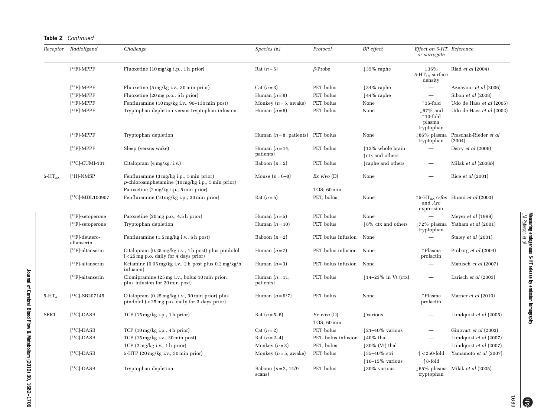|             | Receptor Radioligand                           | Challenge                                                                                                    | <i>Species</i> (n)                        | Protocol                       | <b>BP</b> effect                     | Effect on 5-HT Reference<br>or surrogate                  |                                                                |
|-------------|------------------------------------------------|--------------------------------------------------------------------------------------------------------------|-------------------------------------------|--------------------------------|--------------------------------------|-----------------------------------------------------------|----------------------------------------------------------------|
|             | $[$ <sup>18</sup> $F$ ]-MPPF                   | Fluoxetine (10 mg/kg i.p., 1 h prior)                                                                        | Rat $(n=5)$                               | $\beta$ -Probe                 | $135\%$ raphe                        | $\downarrow$ 36%<br>$5-HT_{1A}$ surface<br>density        | Riad et al (2004)                                              |
|             | $[$ <sup>18</sup> F]-MPPF                      | Fluoxetine (5 mg/kg i.v., 30 min prior)                                                                      | Cat $(n=3)$                               | PET bolus                      | $\downarrow$ 34% raphe               | $\equiv$                                                  | Aznavour et al (2006)                                          |
|             | $[$ <sup>18</sup> F]-MPPF                      | Fluoxetine (20 mg p.o., 5 h prior)                                                                           | Human $(n=8)$                             | PET bolus                      | $\downarrow$ 44% raphe               | $\qquad \qquad -$                                         | Sibon et al (2008)                                             |
|             | $[$ <sup>18</sup> F]-MPPF                      | Fenfluramine (10 mg/kg i.v., 90-130 min post)                                                                | Monkey $(n=5, \text{ awake})$             | PET bolus                      | None                                 | $\uparrow$ 35-fold                                        | Udo de Haes et al (2005)                                       |
|             | $[$ <sup>18</sup> F]-MPPF                      | Tryptophan depletion versus tryptophan infusion                                                              | Human $(n=6)$                             | PET bolus                      | None                                 | $167\%$ and<br>$\uparrow$ 10-fold<br>plasma<br>tryptophan | Udo de Haes et al (2002)                                       |
|             | $[$ <sup>18</sup> F]-MPPF                      | Tryptophan depletion                                                                                         | Human $(n=8, \text{ patients})$ PET bolus |                                | None                                 | 186% plasma<br>tryptophan                                 | Praschak-Rieder et al<br>(2004)                                |
|             | $[$ <sup>18</sup> F]-MPPF                      | Sleep (versus wake)                                                                                          | Human $(n=14,$<br>patients)               | PET bolus                      | ↑12% whole brain<br>↑ ctx and others | $\overline{\phantom{0}}$                                  | Derry et al (2006)                                             |
|             | $[$ <sup>11</sup> C]-CUMI-101                  | Citalopram (4 mg/kg, i.v.)                                                                                   | Baboon $(n=2)$                            | PET bolus                      | I raphe and others                   | $\qquad \qquad$                                           | Milak et al (2008b)                                            |
| $5-HT_{2A}$ | $[$ <sup>3</sup> H]-NMSP                       | Fenfluramine (3 mg/kg i.p., 5 min prior)<br>p-chloroamphetamine (10 mg/kg i.p., 5 min prior)                 | Mouse $(n=6-8)$                           | $Ex$ vivo $(D)$                | None                                 | $\overline{\phantom{0}}$                                  | Rice et al (2001)                                              |
|             |                                                | Paroxetine (2 mg/kg i.p., 5 min prior)                                                                       |                                           | TOS: 60 min                    |                                      |                                                           |                                                                |
|             | $[$ <sup>11</sup> C $]$ -MDL100907             | Fenfluramine (10 mg/kg i.p., 30 min prior)                                                                   | Rat $(n=5)$                               | PET, bolus                     | None                                 | and Arc<br>expression                                     | $\uparrow$ 5-HT <sub>2A</sub> c-fos Hirani <i>et al</i> (2003) |
|             | $[$ <sup>18</sup> $F$ ]-setoperone             | Paroxetine (20 mg p.o., 4.5 h prior)                                                                         | Human $(n=5)$                             | PET bolus                      | None                                 | $\overline{\phantom{0}}$                                  | Meyer et al (1999)                                             |
|             | $[$ <sup>18</sup> $F$ ]-setoperone             | Tryptophan depletion                                                                                         | Human $(n=10)$                            | PET bolus                      | $\downarrow$ 8% ctx and others       | ↓72% plasma<br>tryptophan                                 | Yatham et al (2001)                                            |
|             | $[$ <sup>18</sup> $F$ ]-deutero-<br>altanserin | Fenfluramine (1.5 mg/kg i.v., 6 h post)                                                                      | Baboon $(n=2)$                            | PET bolus infusion             | None                                 | $\overline{\phantom{0}}$                                  | Staley et al (2001)                                            |
|             | $[$ <sup>18</sup> $F$ ]-altanserin             | Citalopram (0.25 mg/kg i.v., 1h post) plus pindolol<br>$\left( < 25 \right)$ mg p.o. daily for 4 days prior) | Human $(n=7)$                             | PET bolus infusion             | None                                 | ↑Plasma<br>prolactin                                      | Pinborg et al (2004)                                           |
|             | $[$ <sup>18</sup> $F$ ]-altanserin             | Ketamine (0.05 mg/kg i.v., 2 h post plus 0.2 mg/kg/h<br>infusion)                                            | Human $(n=3)$                             | PET bolus infusion             | None                                 | $\overline{\phantom{0}}$                                  | Matusch et al (2007)                                           |
|             | $[$ <sup>18</sup> $F$ ]-altanserin             | Clomipramine (25 mg i.v., bolus 10 min prior,<br>plus infusion for 20 min post)                              | Human $(n=11,$<br>patients)               | PET bolus                      | $\downarrow$ 14–23% in Vt (ctx)      |                                                           | Larisch et al (2003)                                           |
| $5-HT4$     | $[$ <sup>11</sup> C]-SB207145                  | Citalopram (0.25 mg/kg i.v., 30 min prior) plus<br>pindolol $(25 \text{ mg p.o.} daily for 3 days prior)$    | Human $(n=6/7)$                           | PET bolus                      | None                                 | ↑Plasma<br>prolactin                                      | Marner et al (2010)                                            |
| <b>SERT</b> | $[$ <sup>11</sup> C]-DASB                      | TCP (15 mg/kg i.p., 1 h prior)                                                                               | $\text{Rat}$ $(n = 5 - 6)$                | $Ex$ vivo $(D)$<br>TOS: 60 min | ↓ Various                            | $\overline{\phantom{0}}$                                  | Lundquist et al (2005)                                         |
|             | $[$ <sup>11</sup> C]-DASB                      | TCP (10 mg/kg i.p., 4 h prior)                                                                               | Cat $(n=2)$                               | PET bolus                      | $\downarrow$ 21-40% various          | $\overline{\phantom{0}}$                                  | Ginovart et al (2003)                                          |
|             | $[$ <sup>11</sup> C $]$ -DASB                  | TCP (15 mg/kg i.v., 30 min post)                                                                             | $\text{Rat}$ $(n=2-4)$                    | PET, bolus infusion            | $\downarrow$ 40% thal                |                                                           | Lundquist et al (2007)                                         |
|             |                                                | TCP $(2 \text{ mg/kg} \text{ i.v.}, 1 \text{ h prior})$                                                      | Monkey $(n=3)$                            | PET, bolus                     | $\downarrow$ 30% (Vt) thal           |                                                           | Lundquist et al (2007)                                         |

 $[11C]$ -DASB Tryptophan depletion Baboon (n = 2, 14/9

[<sup>11</sup>C]-DASB 5-HTP (20 mg/kg i.v., 30 min prior) Monkey (n = 5, awake) PET bolus  $\downarrow$ 35-40% stri  $\uparrow$  < 250-fold [Yamamoto](#page-24-0) et al (2007)

PET bolus

scans)

 $\downarrow$  10–15% various  $~\uparrow$  8-fold

 $\frac{130\%}{2}$  various  $\frac{165\%}{2}$  plasma

tryptophan

Milak et al [\(2005\)](#page-22-0)

# LM Paterson Measuring endogenous 5-HT release by emission tomography<br>LM Paterson e*t al*

Measuring endogenous 5-HT release by emission tomography

Table 2 Continued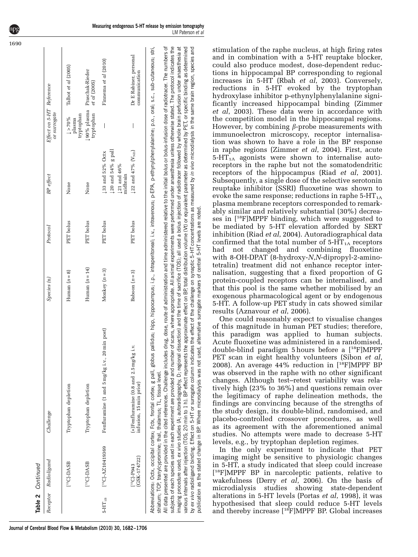|             | Table 2 Continued                                        |                                                                                                                                                                                                                                                                                   |                |           |                                                                                           |                                            |                                         |
|-------------|----------------------------------------------------------|-----------------------------------------------------------------------------------------------------------------------------------------------------------------------------------------------------------------------------------------------------------------------------------|----------------|-----------|-------------------------------------------------------------------------------------------|--------------------------------------------|-----------------------------------------|
|             | Receptor Radioligand                                     | Challenge                                                                                                                                                                                                                                                                         | Species (n)    | Protocol  | BP effect                                                                                 | Effect on 5-HT Reference<br>or surrogate   |                                         |
|             | [ <sup>11</sup> C]-DASB                                  | Tryptophan depletion                                                                                                                                                                                                                                                              | Human $(n=8)$  | PET bolus | None                                                                                      | plasma<br>tryptophan<br>$\downarrow$ > 70% | Talbot et al (2005)                     |
|             | [ <sup>11</sup> C]-DASB                                  | Tryptophan depletion                                                                                                                                                                                                                                                              | Human $(n=14)$ | PET bolus | None                                                                                      | $\downarrow$ 90% plasma<br>tryptophan      | Praschak-Rieder<br>et al (2005)         |
| $5-HT_{1B}$ | $[$ <sup>11</sup> C <sub>1</sub> -AZ <sub>10419369</sub> | Fenfluramine (1 and 5 mg/kg i.v., 20 min post)                                                                                                                                                                                                                                    | Monkey $(n=3)$ | PET bolus | $\downarrow$ 20 and 54% g pall<br>133 and 52% Octx<br>$\downarrow$ 21 and 46%<br>midbrain | I                                          | Finnema <i>et al</i> $(2010)$           |
|             | $(CSK-174722)$<br>$[11C]$ -P943                          | $(+)$ Fenfluramine (0.8 and 2.5 mg/kg i.v.<br>infusion, 15 min prior)                                                                                                                                                                                                             | Baboon $(n=3)$ | PET bolus | $\downarrow$ 22 and 47% ( $V_{\text{ND}}$ )                                               | I                                          | Dr E Rabiner, personal<br>communication |
|             |                                                          | Abbreviations: Octx, occipital cortex; Frontal cortex; g pall, globus pallidus; hipp, hippocampus; intraperitoneal; i.v., intrapenous; p-EPA, p-ethynylphenylalanine; p.o., oral; s.c., sub-cutaneous; stri,<br>striatum; TCP, tranylcypromine; thal, thalamus; TL, tissue level. |                |           |                                                                                           |                                            |                                         |

subjects of each species used in each experiment are provided and number of scans, where appropriate. All animal experiments were performed under anaesthesia unless otherwise stated. The protocol indicates the All data presented are provided in the cited references. Challenge includes drug, dose, route of administration and time administered relative to the initial bolus or bolus-infusion dose of radiotracer. The numbers of D; regional dissection) and the time of sacrifice (TOS); all used a bolus injection of radiotracer followed by whole brain perfusion under anaesthesia at determined species and All data presented are provided in the cited references. Challenge includes drug, dose, route of administration and time administered relative to the initial bolus or bolus-infusion dose of radiotracer. The numbers of subjects of each species used in each experiment are provided and number of scans, where appropriate. All animal experiments were performed under anaesthesia unless otherwise stated. The protocol indicates the imaging procedure used; ex vivo studies (A; autoradiography, D; regional dissection) and the time of sacrifice (TOS); all used a bolus injection of radiotracer followed by whole brain perfusion under anaesthesia at various intervals after injection (TOS; 20 min to 1 h). BP effect represents the approximate effect on BP, total distribution volume (Vt) or equivalent parameter as determined by PET, or specific binding as determined by ex vivo radioligand binding. Effect on 5-HT or surrogate column indicates the effect of the challenge on synaptic 5-HT concentrations as measured by in vivo microdialysis in the same brain region, species and as c brain region, specific binding by in vivo microdialysis in the same PET, or as determined by parameter 5-HT concentrations as measured BP, total distribution volume (Vt) or equivalent noted. publication as the stated change in BP. Where microdialysis was not used, alternative surrogate markers of central 5-HT levels are noted. are levels central 5-HT the challenge on synaptic  $\overline{\sigma}$ markers effect represents the approximate effect on surrogate surrogate column indicates the effect of 1 alternative not used, was imaging procedure used; ex vivo studies (A; autoradiography,<br>various intervals after injection (TOS; 20 min to 1 h). BP effect microdialysis intervals after injection (TOS; 20 min to 1 h).<br>vo radioligand binding. Effect on 5-HT or sun Where BË. change in by ex vivo radioligand bini<br>publication as the stated stimulation of the raphe nucleus, at high firing rates and in combination with a 5-HT reuptake blocker, could also produce modest, dose-dependent reductions in hippocampal BP corresponding to regional increases in  $5-HT$  (Rbah *et al*[, 2003](#page-23-0)). Conversely, reductions in 5-HT evoked by the tryptophan hydroxylase inhibitor p-ethynylphenylalanine significantly increased hippocampal binding [\(Zimmer](#page-24-0) et al[, 2003](#page-24-0)). These data were in accordance with the competition model in the hippocampal regions. However, by combining  $\beta$ -probe measurements with immunoelectron microscopy, receptor internalisation was shown to have a role in the BP response in raphe regions ([Zimmer](#page-24-0) et al, 2004). First, acute  $5-HT<sub>1A</sub>$  agonists were shown to internalise autoreceptors in the raphe but not the somatodendritic receptors of the hippocampus (Riad et al[, 2001\)](#page-23-0). Subsequently, a single dose of the selective serotonin reuptake inhibitor (SSRI) fluoxetine was shown to evoke the same response; reductions in raphe  $5-HT_{1A}$ plasma membrane receptors corresponded to remarkably similar and relatively substantial (30%) decreases in [18F]MPPF binding, which were suggested to be mediated by 5-HT elevation afforded by SERT inhibition (Riad et al[, 2004](#page-23-0)). Autoradiographical data confirmed that the total number of  $5\text{-}HT_{1A}$  receptors had not changed and combining fluoxetine with 8-OH-DPAT (8-hydroxy-N,N-dipropyl-2-aminotetralin) treatment did not enhance receptor internalisation, suggesting that a fixed proportion of G protein-coupled receptors can be internalised, and that this pool is the same whether mobilised by an exogenous pharmacological agent or by endogenous 5-HT. A follow-up PET study in cats showed similar results [\(Aznavour](#page-19-0) et al, 2006).

One could reasonably expect to visualise changes of this magnitude in human PET studies; therefore, this paradigm was applied to human subjects. Acute fluoxetine was administered in a randomised, double-blind paradigm 5 hours before a [18F]MPPF PET scan in eight healthy volunteers ([Sibon](#page-23-0) *et al*, [2008\)](#page-23-0). An average  $44\%$  reduction in  $[$ <sup>18</sup>F]MPPF BP was observed in the raphe with no other significant changes. Although test–retest variability was relatively high (23% to 36%) and questions remain over the legitimacy of raphe delineation methods, the findings are convincing because of the strengths of the study design, its double-blind, randomised, and placebo-controlled crossover procedures, as well as its agreement with the aforementioned animal studies. No attempts were made to decrease 5-HT levels, e.g., by tryptophan depletion regimes.

In the only experiment to indicate that PET imaging might be sensitive to physiologic changes in 5-HT, a study indicated that sleep could increase [ 18F]MPPF BP in narcoleptic patients, relative to wakefulness (Derry et al[, 2006](#page-20-0)). On the basis of microdialysis studies showing state-dependent alterations in 5-HT levels (Portas et al[, 1998\)](#page-22-0), it was hypothesised that sleep could reduce 5-HT levels and thereby increase [<sup>18</sup>F]MPPF BP. Global increases

#### Measuring endogenous 5-HT release by emission tomography LM Paterson et al.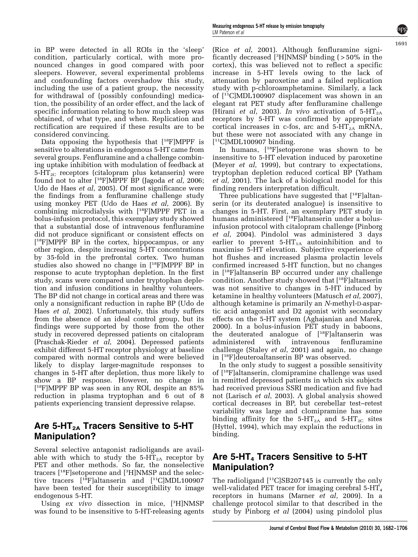in BP were detected in all ROIs in the 'sleep' condition, particularly cortical, with more pronounced changes in good compared with poor sleepers. However, several experimental problems and confounding factors overshadow this study, including the use of a patient group, the necessity for withdrawal of (possibly confounding) medication, the possibility of an order effect, and the lack of specific information relating to how much sleep was obtained, of what type, and when. Replication and rectification are required if these results are to be considered convincing.

Data opposing the hypothesis that [18F]MPPF is sensitive to alterations in endogenous 5-HT came from several groups. Fenfluramine and a challenge combining uptake inhibition with modulation of feedback at  $5-HT_{2C}$  receptors (citalopram plus ketanserin) were found not to alter  $[$ <sup>18</sup>F]MPPF BP ([Jagoda](#page-21-0) et al, 2006; [Udo de Haes](#page-24-0) et al, 2005). Of most significance were the findings from a fenfluramine challenge study using monkey PET [\(Udo de Haes](#page-24-0) et al, 2006). By combining microdialysis with [18F]MPPF PET in a bolus-infusion protocol, this exemplary study showed that a substantial dose of intravenous fenfluramine did not produce significant or consistent effects on [ 18F]MPPF BP in the cortex, hippocampus, or any other region, despite increasing 5-HT concentrations by 35-fold in the prefrontal cortex. Two human studies also showed no change in [18F]MPPF BP in response to acute tryptophan depletion. In the first study, scans were compared under tryptophan depletion and infusion conditions in healthy volunteers. The BP did not change in cortical areas and there was only a nonsignificant reduction in raphe BP [\(Udo de](#page-24-0) Haes et al[, 2002](#page-24-0)). Unfortunately, this study suffers from the absence of an ideal control group, but its findings were supported by those from the other study in recovered depressed patients on citalopram [\(Praschak-Rieder](#page-22-0) et al, 2004). Depressed patients exhibit different 5-HT receptor physiology at baseline compared with normal controls and were believed likely to display larger-magnitude responses to changes in 5-HT after depletion, thus more likely to show a BP response. However, no change in [ 18F]MPPF BP was seen in any ROI, despite an 85% reduction in plasma tryptophan and 6 out of 8 patients experiencing transient depressive relapse.

# Are 5-HT $_{2A}$  Tracers Sensitive to 5-HT Manipulation?

Several selective antagonist radioligands are available with which to study the  $5-HT_{2A}$  receptor by PET and other methods. So far, the nonselective tracers [18F]setoperone and [3 H]NMSP and the selective tracers [18F]altanserin and [11C]MDL100907 have been tested for their susceptibility to image endogenous 5-HT.

Using ex vivo dissection in mice, [3H]NMSP was found to be insensitive to 5-HT-releasing agents (Rice et al[, 2001](#page-23-0)). Although fenfluramine significantly decreased [<sup>3</sup> H]NMSP binding ( > 50% in the cortex), this was believed not to reflect a specific increase in 5-HT levels owing to the lack of attenuation by paroxetine and a failed replication study with p-chloroamphetamine. Similarly, a lack of [11C]MDL100907 displacement was shown in an elegant rat PET study after fenfluramine challenge (Hirani et al[, 2003\)](#page-20-0). In vivo activation of  $5-HT_{2A}$ receptors by 5-HT was confirmed by appropriate cortical increases in c-fos, arc and  $5-HT_{2A}$  mRNA, but these were not associated with any change in [ 11C]MDL100907 binding.

In humans, [<sup>18</sup>F]setoperone was shown to be insensitive to 5-HT elevation induced by paroxetine (Meyer et al[, 1999\)](#page-22-0), but contrary to expectations, tryptophan depletion reduced cortical BP [\(Yatham](#page-24-0) et al[, 2001\)](#page-24-0). The lack of a biological model for this finding renders interpretation difficult.

Three publications have suggested that [<sup>18</sup>F]altanserin (or its deuterated analogue) is insensitive to changes in 5-HT. First, an exemplary PET study in humans administered [18F]altanserin under a bolusinfusion protocol with citalopram challenge [\(Pinborg](#page-22-0) et al[, 2004\)](#page-22-0). Pindolol was administered 3 days earlier to prevent  $5-HT_{1A}$  autoinhibition and to maximise 5-HT elevation. Subjective experience of hot flushes and increased plasma prolactin levels confirmed increased 5-HT function, but no changes in [18F]altanserin BP occurred under any challenge condition. Another study showed that [<sup>18</sup>F]altanserin was not sensitive to changes in 5-HT induced by ketamine in healthy volunteers [\(Matusch](#page-22-0) et al, 2007), although ketamine is primarily an N-methyl-D-aspartic acid antagonist and D2 agonist with secondary effects on the 5-HT system ([Aghajanian and Marek,](#page-19-0) [2000\)](#page-19-0). In a bolus-infusion PET study in baboons, the deuterated analogue of [18F]altanserin was administered with intravenous fenfluramine challenge (Staley et al[, 2001\)](#page-23-0) and again, no change in [18F]deuteroaltanserin BP was observed.

In the only study to suggest a possible sensitivity of [18F]altanserin, clomipramine challenge was used in remitted depressed patients in which six subjects had received previous SSRI medication and five had not [\(Larisch](#page-21-0) et al, 2003). A global analysis showed cortical decreases in BP, but cerebellar test–retest variability was large and clomipramine has some binding affinity for the 5-HT<sub>2A</sub> and 5-HT<sub>2C</sub> sites [\(Hyttel, 1994\)](#page-21-0), which may explain the reductions in binding.

# Are  $5$ -HT<sub>4</sub> Tracers Sensitive to  $5$ -HT Manipulation?

The radioligand  $[11C]$ SB207145 is currently the only well-validated PET tracer for imaging cerebral 5-HT<sub>4</sub> receptors in humans [\(Marner](#page-21-0) et al, 2009). In a challenge protocol similar to that described in the study by [Pinborg](#page-22-0) et al (2004) using pindolol plus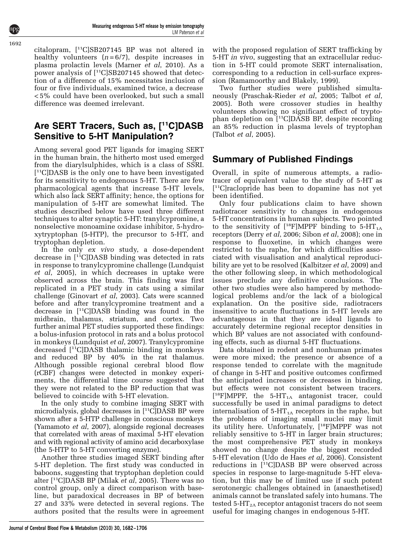citalopram,  $[11C]$ SB207145 BP was not altered in healthy volunteers  $(n=6/7)$ , despite increases in plasma prolactin levels ([Marner](#page-21-0) et al, 2010). As a power analysis of  $[11C]$ SB207145 showed that detection of a difference of 15% necessitates inclusion of four or five individuals, examined twice, a decrease < 5% could have been overlooked, but such a small difference was deemed irrelevant.

# Are SERT Tracers, Such as, [<sup>11</sup>C]DASB Sensitive to 5-HT Manipulation?

Among several good PET ligands for imaging SERT in the human brain, the hitherto most used emerged from the diarylsulphides, which is a class of SSRI. [ 11C]DASB is the only one to have been investigated for its sensitivity to endogenous 5-HT. There are few pharmacological agents that increase 5-HT levels, which also lack SERT affinity; hence, the options for manipulation of 5-HT are somewhat limited. The studies described below have used three different techniques to alter synaptic 5-HT: tranylcypromine, a nonselective monoamine oxidase inhibitor, 5-hydroxytryptophan (5-HTP), the precursor to 5-HT, and tryptophan depletion.

In the only *ex vivo* study, a dose-dependent decrease in [11C]DASB binding was detected in rats in response to tranylcypromine challenge ([Lundquist](#page-21-0) et al[, 2005\)](#page-21-0), in which decreases in uptake were observed across the brain. This finding was first replicated in a PET study in cats using a similar challenge ([Ginovart](#page-20-0) et al, 2003). Cats were scanned before and after tranylcypromine treatment and a decrease in [11C]DASB binding was found in the midbrain, thalamus, striatum, and cortex. Two further animal PET studies supported these findings: a bolus-infusion protocol in rats and a bolus protocol in monkeys [\(Lundquist](#page-21-0) et al, 2007). Tranylcypromine decreased [11C]DASB thalamic binding in monkeys and reduced BP by 40% in the rat thalamus. Although possible regional cerebral blood flow (rCBF) changes were detected in monkey experiments, the differential time course suggested that they were not related to the BP reduction that was believed to coincide with 5-HT elevation.

In the only study to combine imaging SERT with microdialysis, global decreases in  $[$ <sup>11</sup>C]DASB BP were shown after a 5-HTP challenge in conscious monkeys [\(Yamamoto](#page-24-0) et al, 2007), alongside regional decreases that correlated with areas of maximal 5-HT elevation and with regional activity of amino acid decarboxylase (the 5-HTP to 5-HT converting enzyme).

Another three studies imaged SERT binding after 5-HT depletion. The first study was conducted in baboons, suggesting that tryptophan depletion could alter  $[$ <sup>11</sup>C]DASB BP (Milak *et al*[, 2005\)](#page-22-0). There was no control group, only a direct comparison with baseline, but paradoxical decreases in BP of between 27 and 33% were detected in several regions. The authors posited that the results were in agreement

with the proposed regulation of SERT trafficking by 5-HT in vivo, suggesting that an extracellular reduction in 5-HT could promote SERT internalisation, corresponding to a reduction in cell-surface expression ([Ramamoorthy and Blakely, 1999\)](#page-23-0).

Two further studies were published simultaneously [\(Praschak-Rieder](#page-22-0) et al, 2005; [Talbot](#page-23-0) et al, [2005\)](#page-23-0). Both were crossover studies in healthy volunteers showing no significant effect of tryptophan depletion on [11C]DASB BP, despite recording an 85% reduction in plasma levels of tryptophan [\(Talbot](#page-23-0) et al, 2005).

# Summary of Published Findings

Overall, in spite of numerous attempts, a radiotracer of equivalent value to the study of 5-HT as [ 11C]raclopride has been to dopamine has not yet been identified.

Only four publications claim to have shown radiotracer sensitivity to changes in endogenous 5-HT concentrations in human subjects. Two pointed to the sensitivity of  $[$ <sup>18</sup>F]MPPF binding to 5-HT<sub>1A</sub> receptors (Derry et al[, 2006;](#page-20-0) Sibon et al[, 2008\)](#page-23-0); one in response to fluoxetine, in which changes were restricted to the raphe, for which difficulties associated with visualisation and analytical reproduci-bility are yet to be resolved [\(Kalbitzer](#page-21-0) *et al*, 2009) and the other following sleep, in which methodological issues preclude any definitive conclusions. The other two studies were also hampered by methodological problems and/or the lack of a biological explanation. On the positive side, radiotracers insensitive to acute fluctuations in 5-HT levels are advantageous in that they are ideal ligands to accurately determine regional receptor densities in which BP values are not associated with confounding effects, such as diurnal 5-HT fluctuations.

Data obtained in rodent and nonhuman primates were more mixed; the presence or absence of a response tended to correlate with the magnitude of change in 5-HT and positive outcomes confirmed the anticipated increases or decreases in binding, but effects were not consistent between tracers.  $[$ <sup>18</sup>F]MPPF, the 5-HT<sub>1A</sub> antagonist tracer, could successfully be used in animal paradigms to detect internalisation of  $5-HT_{1A}$  receptors in the raphe, but the problems of imaging small nuclei may limit its utility here. Unfortunately, [18F]MPPF was not reliably sensitive to 5-HT in larger brain structures; the most comprehensive PET study in monkeys showed no change despite the biggest recorded 5-HT elevation [\(Udo de Haes](#page-24-0) et al, 2006). Consistent reductions in [11C]DASB BP were observed across species in response to large-magnitude 5-HT elevation, but this may be of limited use if such potent serotonergic challenges obtained in (anaesthetised) animals cannot be translated safely into humans. The tested  $5-HT<sub>2A</sub>$  receptor antagonist tracers do not seem useful for imaging changes in endogenous 5-HT.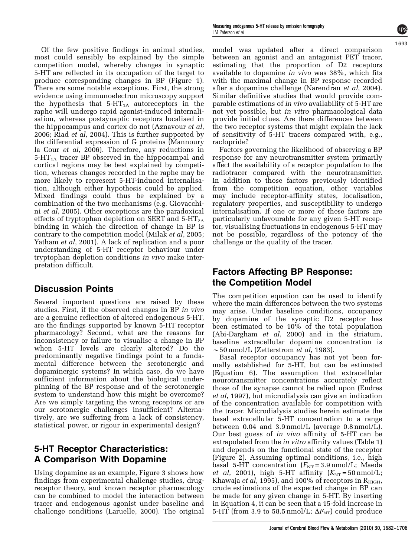Of the few positive findings in animal studies, most could sensibly be explained by the simple competition model, whereby changes in synaptic 5-HT are reflected in its occupation of the target to produce corresponding changes in BP ([Figure 1\)](#page-3-0). There are some notable exceptions. First, the strong evidence using immunoelectron microscopy support the hypothesis that  $5-HT_{1A}$  autoreceptors in the raphe will undergo rapid agonist-induced internalisation, whereas postsynaptic receptors localised in the hippocampus and cortex do not [\(Aznavour](#page-19-0) et al, [2006;](#page-19-0) Riad et al[, 2004](#page-23-0)). This is further supported by the differential expression of G proteins [\(Mannoury](#page-21-0) [la Cour](#page-21-0) et al, 2006). Therefore, any reductions in  $5-HT<sub>1A</sub>$  tracer BP observed in the hippocampal and cortical regions may be best explained by competition, whereas changes recorded in the raphe may be more likely to represent 5-HT-induced internalisation, although either hypothesis could be applied. Mixed findings could thus be explained by a combination of the two mechanisms (e.g. [Giovacchi](#page-20-0)ni et al[, 2005](#page-20-0)). Other exceptions are the paradoxical effects of tryptophan depletion on SERT and  $5-HT_{2A}$ binding in which the direction of change in BP is contrary to the competition model (Milak et al[, 2005](#page-22-0); [Yatham](#page-24-0) et al, 2001). A lack of replication and a poor understanding of 5-HT receptor behaviour under tryptophan depletion conditions in vivo make interpretation difficult.

# Discussion Points

Several important questions are raised by these studies. First, if the observed changes in BP in vivo are a genuine reflection of altered endogenous 5-HT, are the findings supported by known 5-HT receptor pharmacology? Second, what are the reasons for inconsistency or failure to visualise a change in BP when 5-HT levels are clearly altered? Do the predominantly negative findings point to a fundamental difference between the serotonergic and dopaminergic systems? In which case, do we have sufficient information about the biological underpinning of the BP response and of the serotonergic system to understand how this might be overcome? Are we simply targeting the wrong receptors or are our serotonergic challenges insufficient? Alternatively, are we suffering from a lack of consistency, statistical power, or rigour in experimental design?

# 5-HT Receptor Characteristics: A Comparison With Dopamine

Using dopamine as an example, [Figure 3](#page-4-0) shows how findings from experimental challenge studies, drugreceptor theory, and known receptor pharmacology can be combined to model the interaction between tracer and endogenous agonist under baseline and challenge conditions [\(Laruelle, 2000\)](#page-21-0). The original model was updated after a direct comparison between an agonist and an antagonist PET tracer, estimating that the proportion of D2 receptors available to dopamine in vivo was 38%, which fits with the maximal change in BP response recorded after a dopamine challenge ([Narendran](#page-22-0) et al, 2004). Similar definitive studies that would provide comparable estimations of in vivo availability of 5-HT are not yet possible, but in vitro pharmacological data provide initial clues. Are there differences between the two receptor systems that might explain the lack of sensitivity of 5-HT tracers compared with, e.g., raclopride?

Factors governing the likelihood of observing a BP response for any neurotransmitter system primarily affect the availability of a receptor population to the radiotracer compared with the neurotransmitter. In addition to those factors previously identified from the competition equation, other variables may include receptor-affinity states, localisation, regulatory properties, and susceptibility to undergo internalisation. If one or more of these factors are particularly unfavourable for any given 5-HT receptor, visualising fluctuations in endogenous 5-HT may not be possible, regardless of the potency of the challenge or the quality of the tracer.

# Factors Affecting BP Response: the Competition Model

The competition equation can be used to identify where the main differences between the two systems may arise. Under baseline conditions, occupancy by dopamine of the synaptic D2 receptor has been estimated to be 10% of the total population [\(Abi-Dargham](#page-19-0) et al, 2000) and in the striatum, baseline extracellular dopamine concentration is  $\sim$  50 nmol/L ([Zetterstrom](#page-24-0) *et al*, 1983).

Basal receptor occupancy has not yet been formally established for 5-HT, but can be estimated (Equation 6). The assumption that extracellular neurotransmitter concentrations accurately reflect those of the synapse cannot be relied upon [\(Endres](#page-20-0) et al[, 1997\)](#page-20-0), but microdialysis can give an indication of the concentration available for competition with the tracer. Microdialysis studies herein estimate the basal extracellular 5-HT concentration to a range between 0.04 and 3.9 nmol/L (average 0.8 nmol/L). Our best guess of in vivo affinity of 5-HT can be extrapolated from the in vitro affinity values [\(Table 1\)](#page-5-0) and depends on the functional state of the receptor [\(Figure 2\)](#page-3-0). Assuming optimal conditions, i.e., high basal 5-HT concentration  $(F<sub>NT</sub> = 3.9 \text{ nmol/L}; \text{ Maeda}$  $(F<sub>NT</sub> = 3.9 \text{ nmol/L}; \text{ Maeda}$  $(F<sub>NT</sub> = 3.9 \text{ nmol/L}; \text{ Maeda}$ et al[, 2001\)](#page-21-0), high 5-HT affinity  $(K_{NT} = 50 \text{ nmol/L};$ [Khawaja](#page-21-0) *et al*, 1995), and 100% of receptors in  $R<sub>HIGH</sub>$ , crude estimations of the expected change in BP can be made for any given change in 5-HT. By inserting in Equation 4, it can be seen that a 15-fold increase in 5-HT (from 3.9 to 58.5 nmol/L;  $\Delta F_{NT}$ ) could produce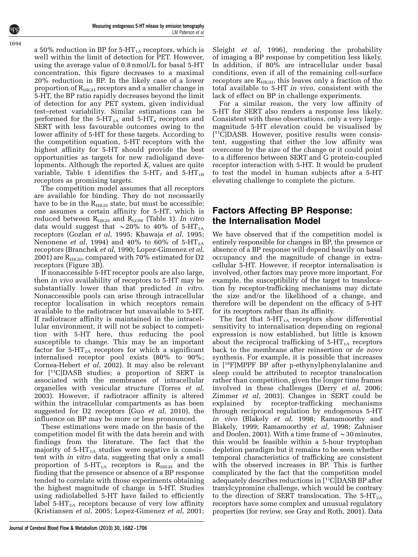a 50% reduction in BP for 5-HT<sub>1A</sub> receptors, which is well within the limit of detection for PET. However, using the average value of 0.8 nmol/L for basal 5-HT concentration, this figure decreases to a maximal 20% reduction in BP. In the likely case of a lower proportion of  $R_{\text{HIGH}}$  receptors and a smaller change in 5-HT, the BP ratio rapidly decreases beyond the limit of detection for any PET system, given individual test–retest variability. Similar estimations can be performed for the 5-HT<sub>2A</sub> and 5-HT<sub>4</sub> receptors and SERT with less favourable outcomes owing to the lower affinity of 5-HT for these targets. According to the competition equation, 5-HT receptors with the highest affinity for 5-HT should provide the best opportunities as targets for new radioligand developments. Although the reported  $K_i$  values are quite variable, [Table 1](#page-5-0) identifies the 5-HT<sub>7</sub> and 5-HT<sub>1B</sub> receptors as promising targets.

The competition model assumes that all receptors are available for binding. They do not necessarily have to be in the  $R_{HIGH}$  state, but must be accessible; one assumes a certain affinity for 5-HT, which is reduced between  $R_{HIGH}$  and  $R_{LOW}$  ([Table 1](#page-5-0)). In vitro data would suggest that  $\sim$  20% to 40% of 5-HT<sub>1A</sub> receptors ([Gozlan](#page-20-0) et al, 1995; [Khawaja](#page-21-0) et al, 1995; [Nenonene](#page-22-0) *et al*, 1994) and 40% to 60% of 5-HT<sub>2A</sub> receptors ([Branchek](#page-19-0) et al, 1990; [Lopez-Gimenez](#page-21-0) et al, [2001\)](#page-21-0) are  $R_{\text{HIGH}}$ , compared with 70% estimated for D2 receptors ([Figure 3B](#page-4-0)).

If nonaccessible 5-HT receptor pools are also large, then in vivo availability of receptors to 5-HT may be substantially lower than that predicted in vitro. Nonaccessible pools can arise through intracellular receptor localisation in which receptors remain available to the radiotracer but unavailable to 5-HT. If radiotracer affinity is maintained in the intracellular environment, it will not be subject to competition with 5-HT here, thus reducing the pool susceptible to change. This may be an important factor for  $5-HT_{2A}$  receptors for which a significant internalised receptor pool exists (80% to 90%; [Cornea-Hebert](#page-20-0) et al, 2002). It may also be relevant for [11C]DASB studies; a proportion of SERT is associated with the membranes of intracellular organelles with vesicular structure [\(Torres](#page-23-0) et al, [2003\)](#page-23-0). However, if radiotracer affinity is altered within the intracellular compartments as has been suggested for D2 receptors (Guo et al[, 2010\)](#page-20-0), the influence on BP may be more or less pronounced.

These estimations were made on the basis of the competition model fit with the data herein and with findings from the literature. The fact that the majority of  $5-HT<sub>1A</sub>$  studies were negative is consistent with *in vitro* data, suggesting that only a small proportion of  $5-HT_{1A}$  receptors is  $R_{HIGH}$  and the finding that the presence or absence of a BP response tended to correlate with those experiments obtaining the highest magnitude of change in 5-HT. Studies using radiolabelled 5-HT have failed to efficiently label  $5-HT_{2A}$  receptors because of very low affinity [\(Kristiansen](#page-21-0) et al, 2005; [Lopez-Gimenez](#page-21-0) et al, 2001;

Sleight et al[, 1996](#page-23-0)), rendering the probability of imaging a BP response by competition less likely. In addition, if 80% are intracellular under basal conditions, even if all of the remaining cell-surface receptors are  $R_{HIGH}$ , this leaves only a fraction of the total available to 5-HT in vivo, consistent with the lack of effect on BP in challenge experiments.

For a similar reason, the very low affinity of 5-HT for SERT also renders a response less likely. Consistent with these observations, only a very largemagnitude 5-HT elevation could be visualised by [ 11C]DASB. However, positive results were consistent, suggesting that either the low affinity was overcome by the size of the change or it could point to a difference between SERT and G protein-coupled receptor interaction with 5-HT. It would be prudent to test the model in human subjects after a 5-HT elevating challenge to complete the picture.

# Factors Affecting BP Response: the Internalisation Model

We have observed that if the competition model is entirely responsible for changes in BP, the presence or absence of a BP response will depend heavily on basal occupancy and the magnitude of change in extracellular 5-HT. However, if receptor internalisation is involved, other factors may prove more important. For example, the susceptibility of the target to translocation by receptor-trafficking mechanisms may dictate the size and/or the likelihood of a change, and therefore will be dependent on the efficacy of 5-HT for its receptors rather than its affinity.

The fact that  $5-HT_{1A}$  receptors show differential sensitivity to internalisation depending on regional expression is now established, but little is known about the reciprocal trafficking of  $5-HT<sub>1A</sub>$  receptors back to the membrane after reinsertion or de novo synthesis. For example, it is possible that increases in [18F]MPPF BP after p-ethynylphenylalanine and sleep could be attributed to receptor translocation rather than competition, given the longer time frames involved in these challenges (Derry et al[, 2006](#page-20-0); [Zimmer](#page-24-0) et al, 2003). Changes in SERT could be explained by receptor-trafficking mechanisms through reciprocal regulation by endogenous 5-HT in vivo [\(Blakely](#page-19-0) et al, 1998; [Ramamoorthy and](#page-23-0) [Blakely, 1999](#page-23-0); [Ramamoorthy](#page-23-0) et al, 1998; [Zahniser](#page-24-0) [and Doolen, 2001](#page-24-0)). With a time frame of  $\sim$  30 minutes, this would be feasible within a 5-hour tryptophan depletion paradigm but it remains to be seen whether temporal characteristics of trafficking are consistent with the observed increases in BP. This is further complicated by the fact that the competition model adequately describes reductions in  $[11C]DASB$  BP after tranylcypromine challenge, which would be contrary to the direction of SERT translocation. The  $5-HT_{2A}$ receptors have some complex and unusual regulatory properties (for review, see [Gray and Roth, 2001\)](#page-20-0). Data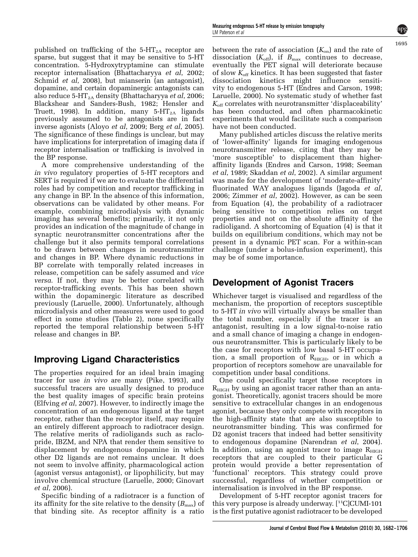published on trafficking of the  $5-HT_{2A}$  receptor are sparse, but suggest that it may be sensitive to 5-HT concentration. 5-Hydroxytryptamine can stimulate receptor internalisation [\(Bhattacharyya](#page-19-0) et al, 2002; [Schmid](#page-23-0) *et al*, 2008), but mianserin (an antagonist), dopamine, and certain dopaminergic antagonists can also reduce 5-HT<sub>2A</sub> density [\(Bhattacharyya](#page-19-0) *et al*, 2006; [Blackshear and Sanders-Bush, 1982](#page-19-0); [Hensler and](#page-20-0) [Truett, 1998\)](#page-20-0). In addition, many  $5-HT_{2A}$  ligands previously assumed to be antagonists are in fact inverse agonists (Aloyo et al[, 2009;](#page-19-0) Berg et al[, 2005\)](#page-19-0). The significance of these findings is unclear, but may have implications for interpretation of imaging data if receptor internalisation or trafficking is involved in the BP response.

A more comprehensive understanding of the in vivo regulatory properties of 5-HT receptors and SERT is required if we are to evaluate the differential roles had by competition and receptor trafficking in any change in BP. In the absence of this information, observations can be validated by other means. For example, combining microdialysis with dynamic imaging has several benefits; primarily, it not only provides an indication of the magnitude of change in synaptic neurotransmitter concentrations after the challenge but it also permits temporal correlations to be drawn between changes in neurotransmitter and changes in BP. Where dynamic reductions in BP correlate with temporally related increases in release, competition can be safely assumed and vice versa. If not, they may be better correlated with receptor-trafficking events. This has been shown within the dopaminergic literature as described previously [\(Laruelle, 2000\)](#page-21-0). Unfortunately, although microdialysis and other measures were used to good effect in some studies ([Table 2](#page-6-0)), none specifically reported the temporal relationship between 5-HT release and changes in BP.

# Improving Ligand Characteristics

The properties required for an ideal brain imaging tracer for use in vivo are many ([Pike, 1993](#page-22-0)), and successful tracers are usually designed to produce the best quality images of specific brain proteins [\(Elfving](#page-20-0) et al, 2007). However, to indirectly image the concentration of an endogenous ligand at the target receptor, rather than the receptor itself, may require an entirely different approach to radiotracer design. The relative merits of radioligands such as raclopride, IBZM, and NPA that render them sensitive to displacement by endogenous dopamine in which other D2 ligands are not remains unclear. It does not seem to involve affinity, pharmacological action (agonist versus antagonist), or lipophilicity, but may involve chemical structure [\(Laruelle, 2000;](#page-21-0) [Ginovart](#page-20-0) et al[, 2006](#page-20-0)).

Specific binding of a radiotracer is a function of its affinity for the site relative to the density  $(B_{\text{max}})$  of that binding site. As receptor affinity is a ratio has been conducted, and often pharmacokinetic experiments that would facilitate such a comparison

have not been conducted. Many published articles discuss the relative merits of 'lower-affinity' ligands for imaging endogenous neurotransmitter release, citing that they may be 'more susceptible' to displacement than higheraffinity ligands [\(Endres and Carson, 1998](#page-20-0); [Seeman](#page-23-0) et al[, 1989; Skaddan](#page-23-0) et al, 2002). A similar argument was made for the development of 'moderate-affinity' fluorinated WAY analogues ligands [\(Jagoda](#page-21-0) et al, [2006;](#page-21-0) [Zimmer](#page-24-0) et al, 2002). However, as can be seen from Equation (4), the probability of a radiotracer being sensitive to competition relies on target properties and not on the absolute affinity of the radioligand. A shortcoming of Equation (4) is that it builds on equilibrium conditions, which may not be present in a dynamic PET scan. For a within-scan challenge (under a bolus-infusion experiment), this may be of some importance.

# Development of Agonist Tracers

Whichever target is visualised and regardless of the mechanism, the proportion of receptors susceptible to 5-HT in vivo will virtually always be smaller than the total number, especially if the tracer is an antagonist, resulting in a low signal-to-noise ratio and a small chance of imaging a change in endogenous neurotransmitter. This is particularly likely to be the case for receptors with low basal 5-HT occupation, a small proportion of  $R_{HIGH}$ , or in which a proportion of receptors somehow are unavailable for competition under basal conditions.

One could specifically target those receptors in  $R<sub>HIGH</sub>$  by using an agonist tracer rather than an antagonist. Theoretically, agonist tracers should be more sensitive to extracellular changes in an endogenous agonist, because they only compete with receptors in the high-affinity state that are also susceptible to neurotransmitter binding. This was confirmed for D2 agonist tracers that indeed had better sensitivity to endogenous dopamine [\(Narendran](#page-22-0) et al, 2004). In addition, using an agonist tracer to image  $R<sub>HIGH</sub>$ receptors that are coupled to their particular G protein would provide a better representation of 'functional' receptors. This strategy could prove successful, regardless of whether competition or internalisation is involved in the BP response.

Development of 5-HT receptor agonist tracers for this very purpose is already underway. [11C]CUMI-101 is the first putative agonist radiotracer to be developed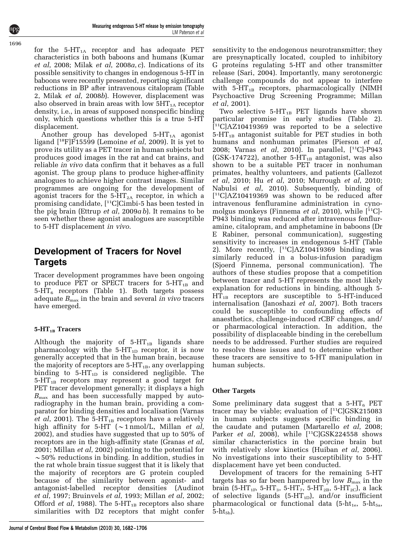for the  $5-\text{HT}_{1\text{A}}$  receptor and has adequate PET characteristics in both baboons and humans [\(Kumar](#page-21-0) et al[, 2008;](#page-21-0) Milak et al[, 2008](#page-22-0) $a, c$ ). Indications of its possible sensitivity to changes in endogenous 5-HT in baboons were recently presented, reporting significant reductions in BP after intravenous citalopram ([Table](#page-6-0) [2](#page-6-0), Milak et al[, 2008](#page-22-0)b). However, displacement was also observed in brain areas with low  $5HT_{1A}$  receptor density, i.e., in areas of supposed nonspecific binding only, which questions whether this is a true 5-HT displacement.

Another group has developed  $5-HT_{1A}$  agonist ligand  $[$ <sup>18</sup>F]F15599 ([Lemoine](#page-21-0) *et al*, 2009). It is yet to prove its utility as a PET tracer in human subjects but produces good images in the rat and cat brains, and reliable in vivo data confirm that it behaves as a full agonist. The group plans to produce higher-affinity analogues to achieve higher contrast images. Similar programmes are ongoing for the development of agonist tracers for the  $5-HT_{2A}$  receptor, in which a promising candidate, [11C]Cimbi-5 has been tested in the pig brain [\(Ettrup](#page-20-0) *et al*, 2009*ab*). It remains to be seen whether these agonist analogues are susceptible to 5-HT displacement in vivo.

# Development of Tracers for Novel **Targets**

Tracer development programmes have been ongoing to produce PET or SPECT tracers for  $5-HT_{1B}$  and  $5-\text{HT}_6$  receptors ([Table 1](#page-5-0)). Both targets possess adequate  $B_{\text{max}}$  in the brain and several *in vivo* tracers have emerged.

## $5-HT_{1B}$  Tracers

Although the majority of  $5-HT_{1B}$  ligands share pharmacology with the  $5-HT_{1D}$  receptor, it is now generally accepted that in the human brain, because the majority of receptors are  $5-HT_{1B}$ , any overlapping binding to  $5-HT_{1D}$  is considered negligible. The  $5-\text{HT}_{1B}$  receptors may represent a good target for PET tracer development generally; it displays a high  $B_{\text{max}}$  and has been successfully mapped by autoradiography in the human brain, providing a comparator for binding densities and localisation [\(Varnas](#page-24-0) *et al*[, 2001\)](#page-24-0). The 5-HT<sub>1B</sub> receptors have a relatively high affinity for 5-HT ( $\sim$ 1 nmol/L, [Millan](#page-22-0) et al, [2002\)](#page-22-0), and studies have suggested that up to 50% of receptors are in the high-affinity state [\(Granas](#page-20-0) et al, [2001;](#page-20-0) [Millan](#page-22-0) et al, 2002) pointing to the potential for  $\sim$  50% reductions in binding. In addition, studies in the rat whole brain tissue suggest that it is likely that the majority of receptors are G protein coupled because of the similarity between agonist- and antagonist-labelled receptor densities ([Audinot](#page-19-0) et al[, 1997](#page-19-0); [Bruinvels](#page-19-0) et al, 1993; [Millan](#page-22-0) et al, 2002; Offord *et al*[, 1988\)](#page-22-0). The 5-HT<sub>1B</sub> receptors also share similarities with D2 receptors that might confer

sensitivity to the endogenous neurotransmitter; they are presynaptically located, coupled to inhibitory G proteins regulating 5-HT and other transmitter release ([Sari, 2004\)](#page-23-0). Importantly, many serotonergic challenge compounds do not appear to interfere with  $5-\text{HT}_{1B}$  receptors, pharmacologically (NIMH) Psychoactive Drug Screening Programme; [Millan](#page-22-0) et al[, 2001](#page-22-0)).

Two selective  $5-HT_{1B}$  PET ligands have shown particular promise in early studies [\(Table 2\)](#page-6-0). [ 11C]AZ10419369 was reported to be a selective  $5-HT_{1B}$  antagonist suitable for PET studies in both humans and nonhuman primates [\(Pierson](#page-22-0) *et al*, [2008;](#page-22-0) Varnas *et al*[, 2010\)](#page-24-0). In parallel,  $[^{11}C]$ -P943 (GSK-174722), another 5-HT<sub>1B</sub> antagonist, was also shown to be a suitable PET tracer in nonhuman primates, healthy volunteers, and patients [\(Gallezot](#page-20-0) et al[, 2010](#page-20-0); Hu et al[, 2010](#page-21-0); [Murrough](#page-22-0) et al, 2010; [Nabulsi](#page-22-0) et al, 2010). Subsequently, binding of [ 11C]AZ10419369 was shown to be reduced after intravenous fenfluramine administration in cyno-molgus monkeys ([Finnema](#page-20-0) *et al*, 2010), while  $[$ <sup>11</sup>C<sup> $]$ </sup>-P943 binding was reduced after intravenous fenfluramine, citalopram, and amphetamine in baboons (Dr E Rabiner, personal communication), suggesting sensitivity to increases in endogenous 5-HT [\(Table](#page-6-0) [2](#page-6-0)). More recently,  $[$ <sup>11</sup>C $]$ AZ10419369 binding was similarly reduced in a bolus-infusion paradigm (Sjoerd Finnema, personal communication). The authors of these studies propose that a competition between tracer and 5-HT represents the most likely explanation for reductions in binding, although 5-  $HT_{1B}$  receptors are susceptible to 5-HT-induced internalisation ([Janoshazi](#page-21-0) et al, 2007). Both tracers could be susceptible to confounding effects of anaesthetics, challenge-induced rCBF changes, and/ or pharmacological interaction. In addition, the possibility of displaceable binding in the cerebellum needs to be addressed. Further studies are required to resolve these issues and to determine whether these tracers are sensitive to 5-HT manipulation in human subjects.

## Other Targets

Some preliminary data suggest that a  $5-HT_6$  PET tracer may be viable; evaluation of  $[$ <sup>11</sup>C $]$ GSK215083 in human subjects suggests specific binding in the caudate and putamen [\(Martarello](#page-21-0) et al, 2008; Parker et al[, 2008\)](#page-22-0), while  $[$ <sup>11</sup>C]GSK224558 shows similar characteristics in the porcine brain but with relatively slow kinetics [\(Huiban](#page-21-0) et al, 2006). No investigations into their susceptibility to 5-HT displacement have yet been conducted.

Development of tracers for the remaining 5-HT targets has so far been hampered by low  $B_{\text{max}}$  in the brain (5-HT<sub>1F</sub>, 5-HT<sub>3</sub>, 5-HT<sub>7</sub>, 5-HT<sub>2B</sub>, 5-HT<sub>2C</sub>), a lack of selective ligands  $(5-HT_{1D})$ , and/or insufficient pharmacological or functional data (5-ht<sub>1e</sub>, 5-ht<sub>5a</sub>,  $5$ -h $t_{5b}$ ).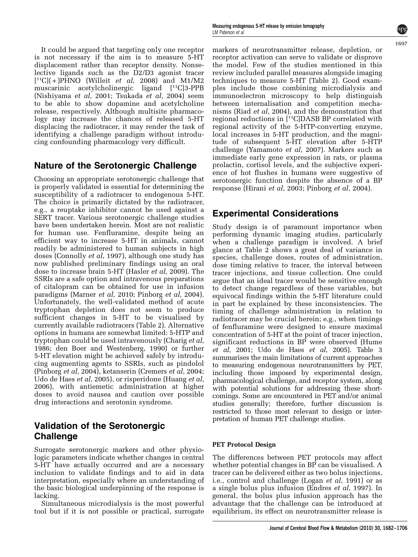It could be argued that targeting only one receptor is not necessary if the aim is to measure 5-HT displacement rather than receptor density. Nonselective ligands such as the D2/D3 agonist tracer  $[$ <sup>11</sup>C $]$ (+)PHNO (Willeit *et al*[, 2008](#page-24-0)) and M1/M2 muscarinic acetylcholinergic ligand [11C]3-PPB [\(Nishiyama](#page-22-0) et al, 2001; [Tsukada](#page-23-0) et al, 2004) seem to be able to show dopamine and acetylcholine release, respectively. Although multisite pharmacology may increase the chances of released 5-HT displacing the radiotracer, it may render the task of identifying a challenge paradigm without introducing confounding pharmacology very difficult.

# Nature of the Serotonergic Challenge

Choosing an appropriate serotonergic challenge that is properly validated is essential for determining the susceptibility of a radiotracer to endogenous 5-HT. The choice is primarily dictated by the radiotracer, e.g., a reuptake inhibitor cannot be used against a SERT tracer. Various serotonergic challenge studies have been undertaken herein. Most are not realistic for human use. Fenfluramine, despite being an efficient way to increase 5-HT in animals, cannot readily be administered to human subjects in high doses ([Connolly](#page-20-0) et al, 1997), although one study has now published preliminary findings using an oral dose to increase brain 5-HT ([Hasler](#page-20-0) et al, 2009). The SSRIs are a safe option and intravenous preparations of citalopram can be obtained for use in infusion paradigms ([Marner](#page-21-0) et al, 2010; [Pinborg](#page-22-0) et al, 2004). Unfortunately, the well-validated method of acute tryptophan depletion does not seem to produce sufficient changes in 5-HT to be visualised by currently available radiotracers ([Table 2\)](#page-6-0). Alternative options in humans are somewhat limited: 5-HTP and tryptophan could be used intravenously ([Charig](#page-20-0) et al, [1986; den Boer and Westenberg, 1990](#page-20-0)) or further 5-HT elevation might be achieved safely by introducing augmenting agents to SSRIs, such as pindolol [\(Pinborg](#page-22-0) et al, 2004), ketanserin [\(Cremers](#page-20-0) et al, 2004; [Udo de Haes](#page-24-0) et al, 2005), or risperidone ([Huang](#page-21-0) et al, [2006\)](#page-21-0), with antiemetic administration at higher doses to avoid nausea and caution over possible drug interactions and serotonin syndrome.

# Validation of the Serotonergic **Challenge**

Surrogate serotonergic markers and other physiologic parameters indicate whether changes in central 5-HT have actually occurred and are a necessary inclusion to validate findings and to aid in data interpretation, especially where an understanding of the basic biological underpinning of the response is lacking.

Simultaneous microdialysis is the most powerful tool but if it is not possible or practical, surrogate markers of neurotransmitter release, depletion, or receptor activation can serve to validate or disprove the model. Few of the studies mentioned in this review included parallel measures alongside imaging techniques to measure 5-HT ([Table 2](#page-6-0)). Good examples include those combining microdialysis and immunoelectron microscopy to help distinguish between internalisation and competition mechanisms (Riad et al[, 2004\)](#page-23-0), and the demonstration that regional reductions in [11C]DASB BP correlated with regional activity of the 5-HTP-converting enzyme, local increases in 5-HT production, and the magnitude of subsequent 5-HT elevation after 5-HTP challenge [\(Yamamoto](#page-24-0) et al, 2007). Markers such as immediate early gene expression in rats, or plasma prolactin, cortisol levels, and the subjective experience of hot flushes in humans were suggestive of serotonergic function despite the absence of a BP response [\(Hirani](#page-20-0) et al, 2003; [Pinborg](#page-22-0) et al, 2004).

# Experimental Considerations

Study design is of paramount importance when performing dynamic imaging studies, particularly when a challenge paradigm is involved. A brief glance at [Table 2](#page-6-0) shows a great deal of variance in species, challenge doses, routes of administration, dose timing relative to tracer, the interval between tracer injections, and tissue collection. One could argue that an ideal tracer would be sensitive enough to detect change regardless of these variables, but equivocal findings within the 5-HT literature could in part be explained by these inconsistencies. The timing of challenge administration in relation to radiotracer may be crucial herein; e.g., when timings of fenfluramine were designed to ensure maximal concentration of 5-HT at the point of tracer injection, significant reductions in BP were observed [\(Hume](#page-21-0) et al[, 2001;](#page-21-0) [Udo de Haes](#page-24-0) et al, 2005). [Table 3](#page-16-0) summarises the main limitations of current approaches to measuring endogenous neurotransmitters by PET, including those imposed by experimental design, pharmacological challenge, and receptor system, along with potential solutions for addressing these shortcomings. Some are encountered in PET and/or animal studies generally; therefore, further discussion is restricted to those most relevant to design or interpretation of human PET challenge studies.

## PET Protocol Design

The differences between PET protocols may affect whether potential changes in BP can be visualised. A tracer can be delivered either as two bolus injections, i.e., control and challenge (Logan et al[, 1991\)](#page-21-0) or as a single bolus plus infusion ([Endres](#page-20-0) et al, 1997). In general, the bolus plus infusion approach has the advantage that the challenge can be introduced at equilibrium, its effect on neurotransmitter release is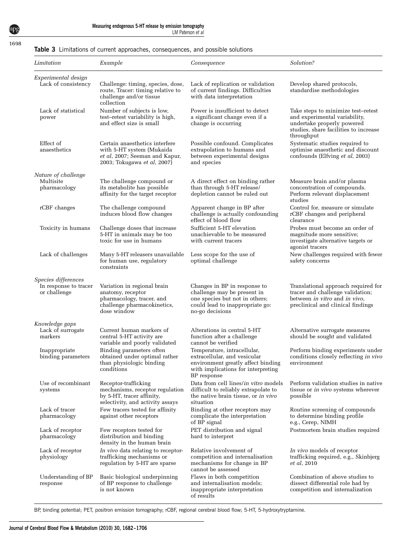## <span id="page-16-0"></span>Table 3 Limitations of current approaches, consequences, and possible solutions

| Limitation                                                   | Example                                                                                                                      | Consequence                                                                                                                                            | Solution?                                                                                                                                                    |
|--------------------------------------------------------------|------------------------------------------------------------------------------------------------------------------------------|--------------------------------------------------------------------------------------------------------------------------------------------------------|--------------------------------------------------------------------------------------------------------------------------------------------------------------|
| Experimental design<br>Lack of consistency                   | Challenge: timing, species, dose,<br>route, Tracer: timing relative to<br>challenge and/or tissue<br>collection              | Lack of replication or validation<br>of current findings. Difficulties<br>with data interpretation                                                     | Develop shared protocols,<br>standardise methodologies                                                                                                       |
| Lack of statistical<br>power                                 | Number of subjects is low,<br>test-retest variability is high,<br>and effect size is small                                   | Power is insufficient to detect<br>a significant change even if a<br>change is occurring                                                               | Take steps to minimize test-retest<br>and experimental variability,<br>undertake properly powered<br>studies, share facilities to increase<br>throughput     |
| Effect of<br>anaesthetics                                    | Certain anaesthetics interfere<br>with 5-HT system (Mukaida<br>et al, 2007; Seeman and Kapur,<br>2003; Tokugawa et al, 2007) | Possible confound. Complicates<br>extrapolation to humans and<br>between experimental designs<br>and species                                           | Systematic studies required to<br>optimise anaesthetic and discount<br>confounds (Elfving et al, 2003)                                                       |
| Nature of challenge<br>Multisite<br>pharmacology             | The challenge compound or<br>its metabolite has possible<br>affinity for the target receptor                                 | A direct effect on binding rather<br>than through 5-HT release/<br>depletion cannot be ruled out                                                       | Measure brain and/or plasma<br>concentration of compounds.<br>Perform relevant displacement                                                                  |
| rCBF changes                                                 | The challenge compound<br>induces blood flow changes                                                                         | Apparent change in BP after<br>challenge is actually confounding<br>effect of blood flow                                                               | studies<br>Control for, measure or simulate<br>rCBF changes and peripheral<br>clearance                                                                      |
| Toxicity in humans                                           | Challenge doses that increase<br>5-HT in animals may be too<br>toxic for use in humans                                       | Sufficient 5-HT elevation<br>unachievable to be measured<br>with current tracers                                                                       | Probes must become an order of<br>magnitude more sensitive;<br>investigate alternative targets or<br>agonist tracers                                         |
| Lack of challenges                                           | Many 5-HT releasers unavailable<br>for human use, regulatory<br>constraints                                                  | Less scope for the use of<br>optimal challenge                                                                                                         | New challenges required with fewer<br>safety concerns                                                                                                        |
| Species differences<br>In response to tracer<br>or challenge | Variation in regional brain<br>anatomy, receptor<br>pharmacology, tracer, and<br>challenge pharmacokinetics,<br>dose window  | Changes in BP in response to<br>challenge may be present in<br>one species but not in others;<br>could lead to inappropriate go:<br>no-go decisions    | Translational approach required for<br>tracer and challenge validation;<br>between <i>in vitro</i> and <i>in vivo</i> ,<br>preclinical and clinical findings |
| Knowledge gaps<br>Lack of surrogate<br>markers               | Current human markers of<br>central 5-HT activity are<br>variable and poorly validated                                       | Alterations in central 5-HT<br>function after a challenge<br>cannot be verified                                                                        | Alternative surrogate measures<br>should be sought and validated                                                                                             |
| Inappropriate<br>binding parameters                          | Binding parameters often<br>obtained under optimal rather<br>than physiologic binding<br>conditions                          | Temperature, intracellular,<br>extracellular, and vesicular<br>environment greatly affect binding<br>with implications for interpreting<br>BP response | Perform binding experiments under<br>conditions closely reflecting in vivo<br>environment                                                                    |
| Use of recombinant<br>systems                                | Receptor-trafficking<br>mechanisms, receptor regulation<br>by 5-HT, tracer affinity,<br>selectivity, and activity assays     | Data from cell lines/in vitro models<br>difficult to reliably extrapolate to<br>the native brain tissue, or in vivo<br>situation                       | Perform validation studies in native<br>tissue or in vivo systems wherever<br>possible                                                                       |
| Lack of tracer<br>pharmacology                               | Few tracers tested for affinity<br>against other receptors                                                                   | Binding at other receptors may<br>complicate the interpretation<br>of BP signal                                                                        | Routine screening of compounds<br>to determine binding profile<br>e.g., Cerep, NIMH                                                                          |
| Lack of receptor<br>pharmacology                             | Few receptors tested for<br>distribution and binding<br>density in the human brain                                           | PET distribution and signal<br>hard to interpret                                                                                                       | Postmortem brain studies required                                                                                                                            |
| Lack of receptor<br>physiology                               | In vivo data relating to receptor-<br>trafficking mechanisms or<br>regulation by 5-HT are sparse                             | Relative involvement of<br>competition and internalisation<br>mechanisms for change in BP<br>cannot be assessed                                        | In vivo models of receptor<br>trafficking required, e.g., Skinbjerg<br>et al, 2010                                                                           |
| Understanding of BP<br>response                              | Basic biological underpinning<br>of BP response to challenge<br>is not known                                                 | Flaws in both competition<br>and internalisation models;<br>inappropriate interpretation<br>of results                                                 | Combination of above studies to<br>dissect differential role had by<br>competition and internalization                                                       |

BP, binding potential; PET, positron emission tomography; rCBF, regional cerebral blood flow; 5-HT, 5-hydroxytryptamine.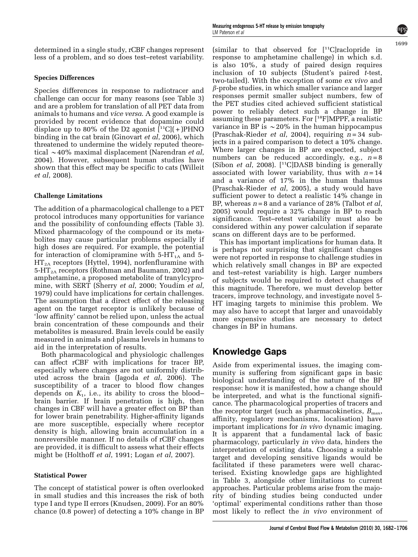determined in a single study, rCBF changes represent less of a problem, and so does test–retest variability.

## Species Differences

Species differences in response to radiotracer and challenge can occur for many reasons (see [Table 3\)](#page-16-0) and are a problem for translation of all PET data from animals to humans and vice versa. A good example is provided by recent evidence that dopamine could displace up to 80% of the D2 agonist  $[^{11}C](+)$ PHNO binding in the cat brain ([Ginovart](#page-20-0) et al, 2006), which threatened to undermine the widely reputed theoretical  $\sim$  40% maximal displacement [\(Narendran](#page-22-0) *et al*, [2004\)](#page-22-0). However, subsequent human studies have shown that this effect may be specific to cats ([Willeit](#page-24-0) et al[, 2008](#page-24-0)).

## Challenge Limitations

The addition of a pharmacological challenge to a PET protocol introduces many opportunities for variance and the possibility of confounding effects ([Table 3\)](#page-16-0). Mixed pharmacology of the compound or its metabolites may cause particular problems especially if high doses are required. For example, the potential for interaction of clomipramine with  $5-HT_{1A}$  and  $5-HT_{2A}$  $HT_{2A}$  receptors ([Hyttel, 1994\)](#page-21-0), norfenfluramine with  $5-HT<sub>2A</sub>$  receptors ([Rothman and Baumann, 2002\)](#page-23-0) and amphetamine, a proposed metabolite of tranylcypro-mine, with SERT ([Sherry](#page-23-0) et al, 2000; [Youdim](#page-24-0) et al, [1979\)](#page-24-0) could have implications for certain challenges. The assumption that a direct effect of the releasing agent on the target receptor is unlikely because of 'low affinity' cannot be relied upon, unless the actual brain concentration of these compounds and their metabolites is measured. Brain levels could be easily measured in animals and plasma levels in humans to aid in the interpretation of results.

Both pharmacological and physiologic challenges can affect rCBF with implications for tracer BP, especially where changes are not uniformly distributed across the brain (Jagoda et al[, 2006\)](#page-21-0). The susceptibility of a tracer to blood flow changes depends on  $K_1$ , i.e., its ability to cross the blood– brain barrier. If brain penetration is high, then changes in CBF will have a greater effect on BP than for lower brain penetrability. Higher-affinity ligands are more susceptible, especially where receptor density is high, allowing brain accumulation in a nonreversible manner. If no details of rCBF changes are provided, it is difficult to assess what their effects might be ([Holthoff](#page-21-0) et al, 1991; Logan et al[, 2007\)](#page-21-0).

## Statistical Power

The concept of statistical power is often overlooked in small studies and this increases the risk of both type I and type II errors ([Knudsen, 2009\)](#page-21-0). For an 80% chance (0.8 power) of detecting a 10% change in BP (similar to that observed for  $[11]$ C raclopride in response to amphetamine challenge) in which s.d. is also 10%, a study of paired design requires inclusion of 10 subjects (Student's paired  $\hat{t}$ -test, two-tailed). With the exception of some ex vivo and  $\beta$ -probe studies, in which smaller variance and larger responses permit smaller subject numbers, few of the PET studies cited achieved sufficient statistical power to reliably detect such a change in BP assuming these parameters. For  $[$ <sup>18</sup>F]MPPF, a realistic variance in BP is  $\sim$  20% in the human hippocampus [\(Praschak-Rieder](#page-22-0) et al, 2004), requiring  $n = 34$  subjects in a paired comparison to detect a 10% change. Where larger changes in BP are expected, subject numbers can be reduced accordingly, e.g.,  $n = 8$ (Sibon *et al*[, 2008\)](#page-23-0).  $[$ <sup>11</sup>C]DASB binding is generally associated with lower variability, thus with  $n = 14$ and a variance of 17% in the human thalamus [\(Praschak-Rieder](#page-22-0) et al, 2005), a study would have sufficient power to detect a realistic 14% change in BP, whereas  $n = 8$  and a variance of 28% [\(Talbot](#page-23-0) *et al*, [2005\)](#page-23-0) would require a 32% change in BP to reach significance. Test–retest variability must also be considered within any power calculation if separate scans on different days are to be performed.

This has important implications for human data. It is perhaps not surprising that significant changes were not reported in response to challenge studies in which relatively small changes in BP are expected and test–retest variability is high. Larger numbers of subjects would be required to detect changes of this magnitude. Therefore, we must develop better tracers, improve technology, and investigate novel 5- HT imaging targets to minimise this problem. We may also have to accept that larger and unavoidably more expensive studies are necessary to detect changes in BP in humans.

# Knowledge Gaps

Aside from experimental issues, the imaging community is suffering from significant gaps in basic biological understanding of the nature of the BP response: how it is manifested, how a change should be interpreted, and what is the functional significance. The pharmacological properties of tracers and the receptor target (such as pharmacokinetics,  $B_{\text{max}}$ , affinity, regulatory mechanisms, localisation) have important implications for in vivo dynamic imaging. It is apparent that a fundamental lack of basic pharmacology, particularly in vivo data, hinders the interpretation of existing data. Choosing a suitable target and developing sensitive ligands would be facilitated if these parameters were well characterised. Existing knowledge gaps are highlighted in [Table 3,](#page-16-0) alongside other limitations to current approaches. Particular problems arise from the majority of binding studies being conducted under 'optimal' experimental conditions rather than those most likely to reflect the in vivo environment of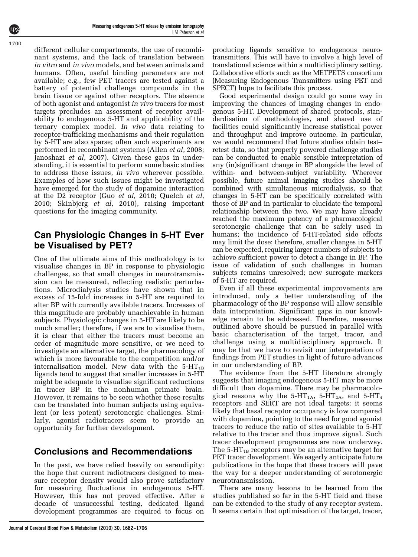different cellular compartments, the use of recombinant systems, and the lack of translation between in vitro and in vivo models, and between animals and humans. Often, useful binding parameters are not available; e.g., few PET tracers are tested against a battery of potential challenge compounds in the brain tissue or against other receptors. The absence of both agonist and antagonist in vivo tracers for most targets precludes an assessment of receptor availability to endogenous 5-HT and applicability of the ternary complex model. In vivo data relating to receptor-trafficking mechanisms and their regulation by 5-HT are also sparse; often such experiments are performed in recombinant systems (Allen et al[, 2008](#page-19-0); [Janoshazi](#page-21-0) *et al*, 2007). Given these gaps in understanding, it is essential to perform some basic studies to address these issues, in vivo wherever possible. Examples of how such issues might be investigated have emerged for the study of dopamine interaction at the D2 receptor (Guo et al[, 2010](#page-20-0); [Quelch](#page-22-0) et al, [2010;](#page-22-0) [Skinbjerg](#page-23-0) et al, 2010), raising important questions for the imaging community.

# Can Physiologic Changes in 5-HT Ever be Visualised by PET?

One of the ultimate aims of this methodology is to visualise changes in BP in response to physiologic challenges, so that small changes in neurotransmission can be measured, reflecting realistic perturbations. Microdialysis studies have shown that in excess of 15-fold increases in 5-HT are required to alter BP with currently available tracers. Increases of this magnitude are probably unachievable in human subjects. Physiologic changes in 5-HT are likely to be much smaller; therefore, if we are to visualise them, it is clear that either the tracers must become an order of magnitude more sensitive, or we need to investigate an alternative target, the pharmacology of which is more favourable to the competition and/or internalisation model. New data with the  $5-HT_{1B}$ ligands tend to suggest that smaller increases in 5-HT might be adequate to visualise significant reductions in tracer BP in the nonhuman primate brain. However, it remains to be seen whether these results can be translated into human subjects using equivalent (or less potent) serotonergic challenges. Similarly, agonist radiotracers seem to provide an opportunity for further development.

# Conclusions and Recommendations

In the past, we have relied heavily on serendipity: the hope that current radiotracers designed to measure receptor density would also prove satisfactory for measuring fluctuations in endogenous 5-HT. However, this has not proved effective. After a decade of unsuccessful testing, dedicated ligand development programmes are required to focus on

Journal of Cerebral Blood Flow & Metabolism (2010) 30, 1682–1706

producing ligands sensitive to endogenous neurotransmitters. This will have to involve a high level of translational science within a multidisciplinary setting. Collaborative efforts such as the METPETS consortium (Measuring Endogenous Transmitters using PET and SPECT) hope to facilitate this process.

Good experimental design could go some way in improving the chances of imaging changes in endogenous 5-HT. Development of shared protocols, standardisation of methodologies, and shared use of facilities could significantly increase statistical power and throughput and improve outcome. In particular, we would recommend that future studies obtain test– retest data, so that properly powered challenge studies can be conducted to enable sensible interpretation of any (in)significant change in BP alongside the level of within- and between-subject variability. Wherever possible, future animal imaging studies should be combined with simultaneous microdialysis, so that changes in 5-HT can be specifically correlated with those of BP and in particular to elucidate the temporal relationship between the two. We may have already reached the maximum potency of a pharmacological serotonergic challenge that can be safely used in humans; the incidence of 5-HT-related side effects may limit the dose; therefore, smaller changes in 5-HT can be expected, requiring larger numbers of subjects to achieve sufficient power to detect a change in BP. The issue of validation of such challenges in human subjects remains unresolved; new surrogate markers of 5-HT are required.

Even if all these experimental improvements are introduced, only a better understanding of the pharmacology of the BP response will allow sensible data interpretation. Significant gaps in our knowledge remain to be addressed. Therefore, measures outlined above should be pursued in parallel with basic characterisation of the target, tracer, and challenge using a multidisciplinary approach. It may be that we have to revisit our interpretation of findings from PET studies in light of future advances in our understanding of BP.

The evidence from the 5-HT literature strongly suggests that imaging endogenous 5-HT may be more difficult than dopamine. There may be pharmacological reasons why the 5-HT<sub>1A</sub>, 5-HT<sub>2A</sub>, and 5-HT<sub>4</sub> receptors and SERT are not ideal targets: it seems likely that basal receptor occupancy is low compared with dopamine, pointing to the need for good agonist tracers to reduce the ratio of sites available to 5-HT relative to the tracer and thus improve signal. Such tracer development programmes are now underway. The  $5-HT_{1B}$  receptors may be an alternative target for PET tracer development. We eagerly anticipate future publications in the hope that these tracers will pave the way for a deeper understanding of serotonergic neurotransmission.

There are many lessons to be learned from the studies published so far in the 5-HT field and these can be extended to the study of any receptor system. It seems certain that optimisation of the target, tracer,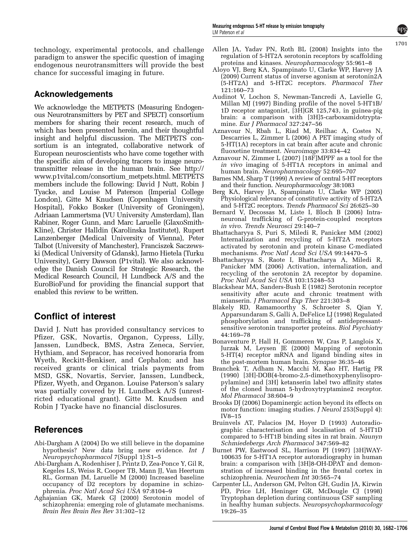<span id="page-19-0"></span>technology, experimental protocols, and challenge paradigm to answer the specific question of imaging endogenous neurotransmitters will provide the best chance for successful imaging in future.

## Acknowledgements

We acknowledge the METPETS (Measuring Endogenous Neurotransmitters by PET and SPECT) consortium members for sharing their recent research, much of which has been presented herein, and their thoughtful insight and helpful discussion. The METPETS consortium is an integrated, collaborative network of European neuroscientists who have come together with the specific aim of developing tracers to image neurotransmitter release in the human brain. See [http://](http://www.p1vital.com/consortium_metpets.html) [www.p1vital.com/consortium\\_metpets.html.](http://www.p1vital.com/consortium_metpets.html) METPETS members include the following: David J Nutt, Robin J Tyacke, and Louise M Paterson (Imperial College London), Gitte M Knudsen (Copenhagen University Hospital), Fokko Bosker (University of Groningen), Adriaan Lammertsma (VU University Amsterdam), Ilan Rabiner, Roger Gunn, and Marc Laruelle (GlaxoSmith-Kline), Christer Halldin (Karolinska Institutet), Rupert Lanzenberger (Medical University of Vienna), Peter Talbot (University of Manchester), Franciszek Saczewski (Medical University of Gdansk), Jarmo Hietela (Turku University), Gerry Dawson (P1vital). We also acknowledge the Danish Council for Strategic Research, the Medical Research Council, H Lundbeck A/S and the EuroBioFund for providing the financial support that enabled this review to be written.

# Conflict of interest

David J. Nutt has provided consultancy services to Pfizer, GSK, Novartis, Organon, Cypress, Lilly, Janssen, Lundbeck, BMS, Astra Zeneca, Servier, Hythiam, and Sepracor, has received honoraria from Wyeth, Reckitt-Benkiser, and Cephalon; and has received grants or clinical trials payments from MSD, GSK, Novartis, Servier, Janssen, Lundbeck, Pfizer, Wyeth, and Organon. Louise Paterson's salary was partially covered by H. Lundbeck A/S (unrestricted educational grant). Gitte M. Knudsen and Robin J Tyacke have no financial disclosures.

# References

- Abi-Dargham A (2004) Do we still believe in the dopamine hypothesis? New data bring new evidence. Int J Neuropsychopharmacol 7(Suppl 1):S1–5
- Abi-Dargham A, Rodenhiser J, Printz D, Zea-Ponce Y, Gil R, Kegeles LS, Weiss R, Cooper TB, Mann JJ, Van Heertum RL, Gorman JM, Laruelle M (2000) Increased baseline occupancy of D2 receptors by dopamine in schizophrenia. Proc Natl Acad Sci USA 97:8104–9
- Aghajanian GK, Marek GJ (2000) Serotonin model of schizophrenia: emerging role of glutamate mechanisms. Brain Res Brain Res Rev 31:302–12
- Allen JA, Yadav PN, Roth BL (2008) Insights into the regulation of 5-HT2A serotonin receptors by scaffolding proteins and kinases. Neuropharmacology 55:961–8
- Aloyo VJ, Berg KA, Spampinato U, Clarke WP, Harvey JA (2009) Current status of inverse agonism at serotonin2A (5-HT2A) and 5-HT2C receptors. Pharmacol Ther 121:160–73
- Audinot V, Lochon S, Newman-Tancredi A, Lavielle G, Millan MJ (1997) Binding profile of the novel 5-HT1B/ 1D receptor antagonist, [3H]GR 125,743, in guinea-pig brain: a comparison with [3H]5-carboxamidotryptamine. Eur J Pharmacol 327:247–56
- Aznavour N, Rbah L, Riad M, Reilhac A, Costes N, Descarries L, Zimmer L (2006) A PET imaging study of 5-HT(1A) receptors in cat brain after acute and chronic fluoxetine treatment. Neuroimage 33:834–42
- Aznavour N, Zimmer L (2007) [18F]MPPF as a tool for the in vivo imaging of 5-HT1A receptors in animal and human brain. Neuropharmacology 52:695–707
- Barnes NM, Sharp T (1999) A review of central 5-HT receptors and their function. Neuropharmacology 38:1083
- Berg KA, Harvey JA, Spampinato U, Clarke WP (2005) Physiological relevance of constitutive activity of 5-HT2A and 5-HT2C receptors. Trends Pharmacol Sci 26:625–30
- Bernard V, Decossas M, Liste I, Bloch B (2006) Intraneuronal trafficking of G-protein-coupled receptors in vivo. Trends Neurosci 29:140–7
- Bhattacharyya S, Puri S, Miledi R, Panicker MM (2002) Internalization and recycling of 5-HT2A receptors activated by serotonin and protein kinase C-mediated mechanisms. Proc Natl Acad Sci USA 99:14470–5
- Bhattacharyya S, Raote I, Bhattacharya A, Miledi R, Panicker MM (2006) Activation, internalization, and recycling of the serotonin 2A receptor by dopamine. Proc Natl Acad Sci USA 103:15248-53
- Blackshear MA, Sanders-Bush E (1982) Serotonin receptor sensitivity after acute and chronic treatment with mianserin. J Pharmacol Exp Ther 221:303–8
- Blakely RD, Ramamoorthy S, Schroeter S, Qian Y, Apparsundaram S, Galli A, DeFelice LJ (1998) Regulated phosphorylation and trafficking of antidepressantsensitive serotonin transporter proteins. Biol Psychiatry 44:169–78
- Bonaventure P, Hall H, Gommeren W, Cras P, Langlois X, Jurzak M, Leysen JE (2000) Mapping of serotonin 5-HT(4) receptor mRNA and ligand binding sites in the post-mortem human brain. Synapse 36:35–46
- Branchek T, Adham N, Macchi M, Kao HT, Hartig PR (1990) [3H]-DOB(4-bromo-2,5-dimethoxyphenylisopropylamine) and [3H] ketanserin label two affinity states of the cloned human 5-hydroxytryptamine2 receptor. Mol Pharmacol 38:604–9
- Brooks DJ (2006) Dopaminergic action beyond its effects on motor function: imaging studies. J Neurol 253(Suppl 4): IV8–15
- Bruinvels AT, Palacios JM, Hoyer D (1993) Autoradiographic characterisation and localisation of 5-HT1D compared to 5-HT1B binding sites in rat brain. Naunyn Schmiedebergs Arch Pharmacol 347:569–82
- Burnet PW, Eastwood SL, Harrison PJ (1997) [3H]WAY-100635 for 5-HT1A receptor autoradiography in human brain: a comparison with [3H]8-OH-DPAT and demonstration of increased binding in the frontal cortex in schizophrenia. Neurochem Int 30:565–74
- Carpenter LL, Anderson GM, Pelton GH, Gudin JA, Kirwin PD, Price LH, Heninger GR, McDougle CJ (1998) Tryptophan depletion during continuous CSF sampling in healthy human subjects. Neuropsychopharmacology 19:26–35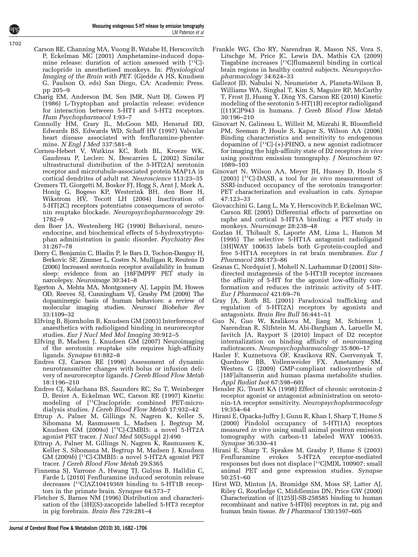- <span id="page-20-0"></span>Carson RE, Channing MA, Vuong B, Watabe H, Herscovitch P, Eckelman MC (2001) Amphetamine-induced dopamine release: duration of action assessed with  $[11C]$ raclopride in anesthetised monkeys. In: Physiological Imaging of the Brain with PET. (Gjedde A HS, Knudsen G, Paulson O, eds) San Diego, CA: Academic Press. pp 205–9
- Charig EM, Anderson IM, Sen JMR, Nutt DJ, Cowen PJ (1986) L-Tryptophan and prolactin release: evidence for interaction between 5-HT1 and 5-HT2 receptors. Hum Psychopharmacol 1:93–7
- Connolly HM, Crary JL, McGoon MD, Hensrud DD, Edwards BS, Edwards WD, Schaff HV (1997) Valvular heart disease associated with fenfluramine-phentermine. N Engl J Med 337:581–8
- Cornea-Hebert V, Watkins KC, Roth BL, Kroeze WK, Gaudreau P, Leclerc N, Descarries L (2002) Similar ultrastructural distribution of the 5-HT(2A) serotonin receptor and microtubule-associated protein MAP1A in cortical dendrites of adult rat. Neuroscience 113:23–35
- Cremers TI, Giorgetti M, Bosker FJ, Hogg S, Arnt J, Mork A, Honig G, Bogeso KP, Westerink BH, den Boer H, Wikstrom HV, Tecott LH (2004) Inactivation of 5-HT(2C) receptors potentiates consequences of serotonin reuptake blockade. Neuropsychopharmacology 29: 1782–9
- den Boer JA, Westenberg HG (1990) Behavioral, neuroendocrine, and biochemical effects of 5-hydroxytryptophan administration in panic disorder. Psychiatry Res 31:267–78
- Derry C, Benjamin C, Bladin P, le Bars D, Tochon-Danguy H, Berkovic SF, Zimmer L, Costes N, Mulligan R, Reutens D (2006) Increased serotonin receptor availability in human sleep: evidence from an [18F]MPPF PET study in narcolepsy. Neuroimage 30:341–8
- Egerton A, Mehta MA, Montgomery AJ, Lappin JM, Howes OD, Reeves SJ, Cunningham VJ, Grasby PM (2009) The dopaminergic basis of human behaviors: a review of molecular imaging studies. Neurosci Biobehav Rev 33:1109–32
- Elfving B, Bjornholm B, Knudsen GM (2003) Interference of anaesthetics with radioligand binding in neuroreceptor studies. Eur J Nucl Med Mol Imaging 30:912-5
- Elfving B, Madsen J, Knudsen GM (2007) Neuroimaging of the serotonin reuptake site requires high-affinity ligands. Synapse 61:882–8
- Endres CJ, Carson RE (1998) Assessment of dynamic neurotransmitter changes with bolus or infusion delivery of neuroreceptor ligands. J Cereb Blood Flow Metab 18:1196–210
- Endres CJ, Kolachana BS, Saunders RC, Su T, Weinberger D, Breier A, Eckelman WC, Carson RE (1997) Kinetic modeling of [11C]raclopride: combined PET-microdialysis studies. J Cereb Blood Flow Metab 17:932–42
- Ettrup A, Palner M, Gillings N, Nagren K, Keller S, Sibomana M, Rasmussen L, Madsen J, Begtrup M, Knudsen GM  $(2009a)$   $[$ <sup>11</sup>C $]$ -CIMBI5: a novel 5-HT2A agonist PET tracer. J Nucl Med 50(Suppl 2):490
- Ettrup A, Palner M, Gillings N, Nagren K, Rasmussen K, Keller S, Sibomana M, Begtrup M, Madsen J, Knudsen GM (2009b) [11C]-CIMBI5: a novel 5-HT2A agonist PET tracer. J Cereb Blood Flow Metab 29:S365
- Finnema SJ, Varrone A, Hwang TJ, Gulyas B, Halldin C, Farde L (2010) Fenfluramine induced serotonin release decreases [11C]AZ10419369 binding to 5-HT1B receptors in the primate brain. Synapse 64:573–7
- Fletcher S, Barnes NM (1996) Distribution and characterisation of the [3H](S)-zacopride labelled 5-HT3 receptor in pig forebrain. Brain Res 729:281–4
- Frankle WG, Cho RY, Narendran R, Mason NS, Vora S, Litschge M, Price JC, Lewis DA, Mathis CA (2009) Tiagabine increases [11C]flumazenil binding in cortical brain regions in healthy control subjects. Neuropsychopharmacology 34:624–33
- Gallezot JD, Nabulsi N, Neumeister A, Planeta-Wilson B, Williams WA, Singhal T, Kim S, Maguire RP, McCarthy T, Frost JJ, Huang Y, Ding YS, Carson RE (2010) Kinetic modeling of the serotonin 5-HT(1B) receptor radioligand  $[(11)C]P\overline{9}43$  in humans. *J Cereb Blood Flow Metab* 30:196–210
- Ginovart N, Galineau L, Willeit M, Mizrahi R, Bloomfield PM, Seeman P, Houle S, Kapur S, Wilson AA (2006) Binding characteristics and sensitivity to endogenous dopamine of  $[$ <sup>11</sup>C $]$ -(+)-PHNO, a new agonist radiotracer for imaging the high-affinity state of D2 receptors in vivo using positron emission tomography. J Neurochem 97: 1089–103
- Ginovart N, Wilson AA, Meyer JH, Hussey D, Houle S (2003)  $[11C]$ -DASB, a tool for *in vivo* measurement of SSRI-induced occupancy of the serotonin transporter: PET characterization and evaluation in cats. Synapse 47:123–33
- Giovacchini G, Lang L, Ma Y, Herscovitch P, Eckelman WC, Carson RE (2005) Differential effects of paroxetine on raphe and cortical 5-HT1A binding: a PET study in monkeys. Neuroimage 28:238–48
- Gozlan H, Thibault S, Laporte AM, Lima L, Hamon M (1995) The selective 5-HT1A antagonist radioligand [3H]WAY 100635 labels both G-protein-coupled and free 5-HT1A receptors in rat brain membranes. Eur J Pharmacol 288:173–86
- Granas C, Nordquist J, Mohell N, Larhammar D (2001) Sitedirected mutagenesis of the 5-HT1B receptor increases the affinity of 5-HT for the agonist low-affinity conformation and reduces the intrinsic activity of 5-HT. Eur J Pharmacol 421:69–76
- Gray JA, Roth BL (2001) Paradoxical trafficking and regulation of 5-HT(2A) receptors by agonists and antagonists. Brain Res Bull 56:441–51
- Guo N, Guo W, Kralikova M, Jiang M, Schieren I, Narendran R, Slifstein M, Abi-Dargham A, Laruelle M, Javitch JA, Rayport S (2010) Impact of D2 receptor internalization on binding affinity of neuroimaging radiotracers. Neuropsychopharmacology 35:806–17
- Hasler F, Kuznetsova OF, Krasikova RN, Cservenyak T, Quednow BB, Vollenweider FX, Ametamey SM, Westera G (2009) GMP-compliant radiosynthesis of [18F]altanserin and human plasma metabolite studies. Appl Radiat Isot 67:598–601
- Hensler JG, Truett KA (1998) Effect of chronic serotonin-2 receptor agonist or antagonist administration on serotonin-1A receptor sensitivity. Neuropsychopharmacology 19:354–64
- Hirani E, Opacka-Juffry J, Gunn R, Khan I, Sharp T, Hume S (2000) Pindolol occupancy of 5-HT(1A) receptors measured in vivo using small animal positron emission tomography with carbon-11 labeled WAY 100635. Synapse 36:330–41
- Hirani E, Sharp T, Sprakes M, Grasby P, Hume S (2003) Fenfluramine evokes 5-HT2A receptor-mediated responses but does not displace [11C]MDL 100907: small animal PET and gene expression studies. Synapse 50:251–60
- Hirst WD, Minton JA, Bromidge SM, Moss SF, Latter AJ, Riley G, Routledge C, Middlemiss DN, Price GW (2000) Characterization of [(125)I]-SB-258585 binding to human recombinant and native 5-HT(6) receptors in rat, pig and human brain tissue. Br J Pharmacol 130:1597–605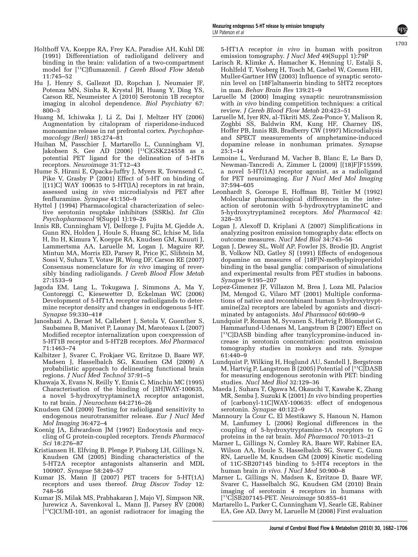- <span id="page-21-0"></span>Holthoff VA, Koeppe RA, Frey KA, Paradise AH, Kuhl DE (1991) Differentiation of radioligand delivery and binding in the brain: validation of a two-compartment model for [11C]flumazenil. J Cereb Blood Flow Metab 11:745–52
- Hu J, Henry S, Gallezot JD, Ropchan J, Neumaier JF, Potenza MN, Sinha R, Krystal JH, Huang Y, Ding YS, Carson RE, Neumeister A (2010) Serotonin 1B receptor imaging in alcohol dependence. Biol Psychiatry 67: 800–3
- Huang M, Ichiwaka J, Li Z, Dai J, Meltzer HY (2006) Augmentation by citalopram of risperidone-induced monoamine release in rat prefrontal cortex. Psychopharmacology (Berl) 185:274–81
- Huiban M, Passchier J, Martarello L, Cunningham VJ, Jakobsen S, Gee AD  $(2006)$  [<sup>11</sup>C]GSK224558 as a potential PET ligand for the delineation of 5-HT6 receptors. Neuroimage 31:T12–43
- Hume S, Hirani E, Opacka-Juffry J, Myers R, Townsend C, Pike V, Grasby P (2001) Effect of 5-HT on binding of  $[(11)C]$  WAY 100635 to 5-HT $[IA]$  receptors in rat brain, assessed using in vivo microdialysis nd PET after fenfluramine. Synapse 41:150–9
- Hyttel J (1994) Pharmacological characterization of selective serotonin reuptake inhibitors (SSRIs). Int Clin Psychopharmacol 9(Suppl 1):19–26
- Innis RB, Cunningham VJ, Delforge J, Fujita M, Gjedde A, Gunn RN, Holden J, Houle S, Huang SC, Ichise M, Iida H, Ito H, Kimura Y, Koeppe RA, Knudsen GM, Knuuti J, Lammertsma AA, Laruelle M, Logan J, Maguire RP, Mintun MA, Morris ED, Parsey R, Price JC, Slifstein M, Sossi V, Suhara T, Votaw JR, Wong DF, Carson RE (2007) Consensus nomenclature for in vivo imaging of reversibly binding radioligands. *J Cereb Blood Flow Metab* 27:1533–9
- Jagoda EM, Lang L, Tokugawa J, Simmons A, Ma Y, Contoreggi C, Kiesewetter D, Eckelman WC (2006) Development of 5-HT1A receptor radioligands to determine receptor density and changes in endogenous 5-HT. Synapse 59:330–41#
- Janoshazi A, Deraet M, Callebert J, Setola V, Guenther S, Saubamea B, Manivet P, Launay JM, Maroteaux L (2007) Modified receptor internalization upon coexpression of 5-HT1B receptor and 5-HT2B receptors. Mol Pharmacol 71:1463–74
- Kalbitzer J, Svarer C, Frokjaer VG, Erritzoe D, Baare WF, Madsen J, Hasselbalch SG, Knudsen GM (2009) A probabilistic approach to delineating functional brain regions. J Nucl Med Technol 37:91-5
- Khawaja X, Evans N, Reilly Y, Ennis C, Minchin MC (1995) Characterisation of the binding of [3H]WAY-100635, a novel 5-hydroxytryptamine1A receptor antagonist, to rat brain. J Neurochem 64:2716–26
- Knudsen GM (2009) Testing for radioligand sensitivity to endogenous neurotransmitter release. Eur J Nucl Med Mol Imaging 36:472–4
- Koenig JA, Edwardson JM (1997) Endocytosis and recycling of G protein-coupled receptors. Trends Pharmacol Sci 18:276–87
- Kristiansen H, Elfving B, Plenge P, Pinborg LH, Gillings N, Knudsen GM (2005) Binding characteristics of the 5-HT2A receptor antagonists altanserin and MDL 100907. Synapse 58:249–57
- Kumar JS, Mann JJ (2007) PET tracers for 5-HT(1A) receptors and uses thereof. Drug Discov Today 12: 748–56
- Kumar JS, Milak MS, Prabhakaran J, Majo VJ, Simpson NR, Jurewicz A, Savenkoval L, Mann JJ, Parsey RV (2008) [ 11C]CUMI-101, an agonist radiotracer for imaging the

5-HT1A receptor in vivo in human with positron emission tomography. J Nucl Med 49(Suppl 1):79P

- Larisch R, Klimke A, Hamacher K, Henning U, Estalji S, Hohlfeld T, Vosberg H, Tosch M, Gaebel W, Coenen HH, Muller-Gartner HW (2003) Influence of synaptic serotonin level on [18F]altanserin binding to 5HT2 receptors in man. Behav Brain Res 139:21–9
- Laruelle M (2000) Imaging synaptic neurotransmission with *in vivo* binding competition techniques: a critical review. J Cereb Blood Flow Metab 20:423–51
- Laruelle M, Iyer RN, al-Tikriti MS, Zea-Ponce Y, Malison R, Zoghbi SS, Baldwin RM, Kung HF, Charney DS, Hoffer PB, Innis RB, Bradberry CW (1997) Microdialysis and SPECT measurements of amphetamine-induced dopamine release in nonhuman primates. Synapse 25:1–14
- Lemoine L, Verdurand M, Vacher B, Blanc E, Le Bars D, Newman-Tancredi A, Zimmer L (2009) [(18)F]F15599, a novel 5-HT(1A) receptor agonist, as a radioligand for PET neuroimaging. Eur J Nucl Med Mol Imaging 37:594–605
- Leonhardt S, Gorospe E, Hoffman BJ, Teitler M (1992) Molecular pharmacological differences in the interaction of serotonin with 5-hydroxytryptamine1C and 5-hydroxytryptamine2 receptors. Mol Pharmacol 42: 328–35
- Logan J, Alexoff D, Kriplani A (2007) Simplifications in analyzing positron emission tomography data: effects on outcome measures. Nucl Med Biol 34:743–56
- Logan J, Dewey SL, Wolf AP, Fowler JS, Brodie JD, Angrist B, Volkow ND, Gatley SJ (1991) Effects of endogenous dopamine on measures of [18F]N-methylspiroperidol binding in the basal ganglia: comparison of simulations and experimental results from PET studies in baboons. Synapse 9:195–207
- Lopez-Gimenez JF, Villazon M, Brea J, Loza MI, Palacios JM, Mengod G, Vilaro MT (2001) Multiple conformations of native and recombinant human 5-hydroxytryptamine(2a) receptors are labeled by agonists and discriminated by antagonists. Mol Pharmacol 60:690–9
- Lundquist P, Roman M, Syvanen S, Hartvig P, Blomquist G, Hammarlund-Udenaes M, Langstrom B (2007) Effect on [ 11C]DASB binding after tranylcypromine-induced increase in serotonin concentration: positron emission tomography studies in monkeys and rats. Synapse 61:440–9
- Lundquist P, Wilking H, Hoglund AU, Sandell J, Bergstrom M, Hartvig P, Langstrom B (2005) Potential of [<sup>11</sup>C]DASB for measuring endogenous serotonin with PET: binding studies. Nucl Med Biol 32:129–36
- Maeda J, Suhara T, Ogawa M, Okauchi T, Kawabe K, Zhang MR, Semba J, Suzuki K (2001) In vivo binding properties of [carbonyl-11C]WAY-100635: effect of endogenous serotonin. Synapse 40:122–9
- Mannoury la Cour C, El Mestikawy S, Hanoun N, Hamon M, Lanfumey L (2006) Regional differences in the coupling of 5-hydroxytryptamine-1A receptors to G proteins in the rat brain. Mol Pharmacol 70:1013–21
- Marner L, Gillings N, Comley RA, Baare WF, Rabiner EA, Wilson AA, Houle S, Hasselbalch SG, Svarer C, Gunn RN, Laruelle M, Knudsen GM (2009) Kinetic modeling of 11C-SB207145 binding to 5-HT4 receptors in the human brain in vivo. J Nucl Med 50:900–8
- Marner L, Gillings N, Madsen K, Erritzoe D, Baare WF, Svarer C, Hasselbalch SG, Knudsen GM (2010) Brain imaging of serotonin 4 receptors in humans with [ 11C]SB207145-PET. Neuroimage 50:855–61
- Martarello L, Parker C, Cunningham VJ, Searle GE, Rabiner EA, Gee AD, Davy M, Laruelle M (2008) First evaluation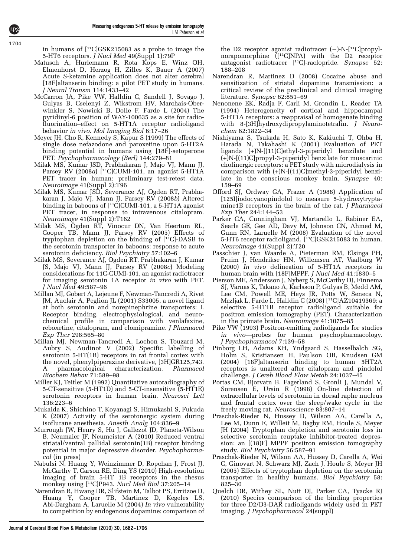<span id="page-22-0"></span>in humans of [11C]GSK215083 as a probe to image the 5-HT6 receptors. J Nucl Med 49(Suppl 1):79P

- Matusch A, Hurlemann R, Rota Kops E, Winz OH, Elmenhorst D, Herzog H, Zilles K, Bauer A (2007) Acute S-ketamine application does not alter cerebral [18F]altanserin binding: a pilot PET study in humans. J Neural Transm 114:1433–42
- McCarron JA, Pike VW, Halldin C, Sandell J, Sovago J, Gulyas B, Cselenyi Z, Wikstrom HV, Marchais-Oberwinkler S, Nowicki B, Dolle F, Farde L (2004) The pyridinyl-6 position of WAY-100635 as a site for radiofluorination–effect on 5-HT1A receptor radioligand behavior in vivo. Mol Imaging Biol 6:17–26
- Meyer JH, Cho R, Kennedy S, Kapur S (1999) The effects of single dose nefazodone and paroxetine upon 5-HT2A binding potential in humans using [18F]-setoperone PET. Psychopharmacology (Berl) 144:279–81
- Milak MS, Kumar JSD, Prabhakaran J, Majo VJ, Mann JJ, Parsey RV (2008a)  $[$ <sup>11</sup>C]CUMI-101, an agonist 5-HT1A PET tracer in human: preliminary test-retest data. Neuroimage 41(Suppl 2):T96
- Milak MS, Kumar JSD, Severance AJ, Ogden RT, Prabhakaran J, Majo VJ, Mann JJ, Parsey RV (2008b) Altered binding in baboons of [11C]CUMI-101, a 5-HT1A agonist PET tracer, in response to intravenous citalopram. Neuroimage 41(Suppl 2):T162
- Milak MS, Ogden RT, Vinocur DN, Van Heertum RL, Cooper TB, Mann JJ, Parsey RV (2005) Effects of tryptophan depletion on the binding of [11C]-DASB to the serotonin transporter in baboons: response to acute serotonin deficiency. Biol Psychiatry 57:102–6
- Milak MS, Severance AJ, Ogden RT, Prabhakaran J, Kumar JS, Majo VJ, Mann JJ, Parsey RV (2008c) Modeling considerations for 11C-CUMI-101, an agonist radiotracer for imaging serotonin 1A receptor in vivo with PET. J Nucl Med 49:587–96
- Millan MJ, Gobert A, Lejeune F, Newman-Tancredi A, Rivet JM, Auclair A, Peglion JL (2001) S33005, a novel ligand at both serotonin and norepinephrine transporters: I. Receptor binding, electrophysiological, and neurochemical profile in comparison with venlafaxine, reboxetine, citalopram, and clomipramine. J Pharmacol Exp Ther 298:565–80
- Millan MJ, Newman-Tancredi A, Lochon S, Touzard M, Aubry S, Audinot V (2002) Specific labelling of serotonin 5-HT(1B) receptors in rat frontal cortex with the novel, phenylpiperazine derivative, [3H]GR125,743. A pharmacological characterization. Pharmacol Biochem Behav 71:589–98
- Miller KJ, Teitler M (1992) Quantitative autoradiography of 5-CT-sensitive (5-HT1D) and 5-CT-insensitive (5-HT1E) serotonin receptors in human brain. Neurosci Lett 136:223–6
- Mukaida K, Shichino T, Koyanagi S, Himukashi S, Fukuda K (2007) Activity of the serotonergic system during isoflurane anesthesia. Anesth Analg 104:836–9
- Murrough JW, Henry S, Hu J, Gallezot JD, Planeta-Wilson B, Neumaier JF, Neumeister A (2010) Reduced ventral striatal/ventral pallidal serotonin(1B) receptor binding potential in major depressive disorder. Psychopharmacol (in press)
- Nabulsi N, Huang Y, Weinzimmer D, Ropchan J, Frost JJ, McCarthy T, Carson RE, Ding YS (2010) High-resolution imaging of brain 5-HT 1B receptors in the rhesus monkey using [<sup>11</sup>C]P943. Nucl Med Biol 37:205–14
- Narendran R, Hwang DR, Slifstein M, Talbot PS, Erritzoe D, Huang Y, Cooper TB, Martinez D, Kegeles LS, Abi-Dargham A, Laruelle M (2004) In vivo vulnerability to competition by endogenous dopamine: comparison of

the D2 receptor agonist radiotracer  $(-)$ -N- $[^{11}C]$ propylnorapomorphine ([11C]NPA) with the D2 receptor antagonist radiotracer [11C]-raclopride. Synapse 52: 188–208

- Narendran R, Martinez D (2008) Cocaine abuse and sensitization of striatal dopamine transmission: a critical review of the preclinical and clinical imaging literature. Synapse 62:851–69
- Nenonene EK, Radja F, Carli M, Grondin L, Reader TA (1994) Heterogeneity of cortical and hippocampal 5-HT1A receptors: a reappraisal of homogenate binding with 8-[3H]hydroxydipropylaminotetralin. *J Neuro*chem 62:1822–34
- Nishiyama S, Tsukada H, Sato K, Kakiuchi T, Ohba H, Harada N, Takahashi K (2001) Evaluation of PET ligands (+)N-[(11)C]ethyl-3-piperidyl benzilate and (+)N-[(11)C]propyl-3-piperidyl benzilate for muscarinic cholinergic receptors: a PET study with microdialysis in comparison with (+)N-[(11)C]methyl-3-piperidyl benzilate in the conscious monkey brain. Synapse 40: 159–69
- Offord SJ, Ordway GA, Frazer A (1988) Application of [125I]iodocyanopindolol to measure 5-hydroxytryptamine1B receptors in the brain of the rat. J Pharmacol Exp Ther 244:144–53
- Parker CA, Cunningham VJ, Martarello L, Rabiner EA, Searle GE, Gee AD, Davy M, Johnson CN, Ahmed M, Gunn RN, Laruelle M (2008) Evaluation of the novel 5-HT6 receptor radioligand, [<sup>11</sup>C]GSK215083 in human. Neuroimage 41(Suppl 2):T20
- Passchier J, van Waarde A, Pieterman RM, Elsinga PH, Pruim J, Hendrikse HN, Willemsen AT, Vaalburg W (2000) In vivo delineation of 5-HT1A receptors in human brain with [18F]MPPF. J Nucl Med 41:1830–5
- Pierson ME, Andersson J, Nyberg S, McCarthy DJ, Finnema SJ, Varnas K, Takano A, Karlsson P, Gulyas B, Medd AM, Lee CM, Powell ME, Heys JR, Potts W, Seneca N, Mrzljak L, Farde L, Halldin C (2008) [11C]AZ10419369: a selective 5-HT1B receptor radioligand suitable for positron emission tomography (PET). Characterization in the primate brain. Neuroimage 41:1075–85
- Pike VW (1993) Positron-emitting radioligands for studies in vivo—probes for human psychopharmacology. J Psychopharmacol 7:139–58
- Pinborg LH, Adams KH, Yndgaard S, Hasselbalch SG, Holm S, Kristiansen H, Paulson OB, Knudsen GM (2004) [18F]altanserin binding to human 5HT2A receptors is unaltered after citalopram and pindolol challenge. J Cereb Blood Flow Metab 24:1037–45
- Portas CM, Bjorvatn B, Fagerland S, Gronli J, Mundal V, Sorensen E, Ursin R (1998) On-line detection of extracellular levels of serotonin in dorsal raphe nucleus and frontal cortex over the sleep/wake cycle in the freely moving rat. Neuroscience 83:807–14
- Praschak-Rieder N, Hussey D, Wilson AA, Carella A, Lee M, Dunn E, Willeit M, Bagby RM, Houle S, Meyer JH (2004) Tryptophan depletion and serotonin loss in selective serotonin reuptake inhibitor-treated depression: an [(18)F] MPPF positron emission tomography study. Biol Psychiatry 56:587–91
- Praschak-Rieder N, Wilson AA, Hussey D, Carella A, Wei C, Ginovart N, Schwarz MJ, Zach J, Houle S, Meyer JH (2005) Effects of tryptophan depletion on the serotonin transporter in healthy humans. Biol Psychiatry 58: 825–30
- Quelch DR, Withey SL, Nutt DJ, Parker CA, Tyacke RJ (2010) Species comparison of the binding properties for three D2/D3-DAR radioligands widely used in PET imaging. J Psychopharmacol 24(suppl)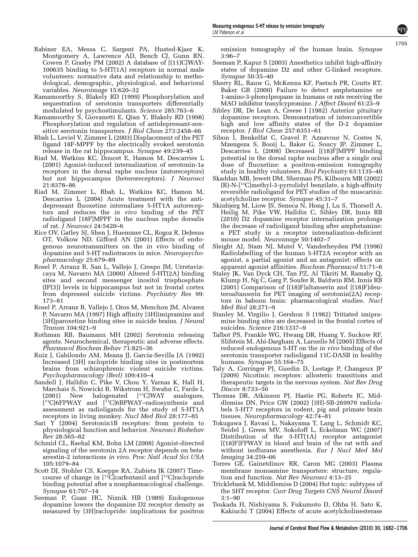1705

- <span id="page-23-0"></span>Ramamoorthy S, Blakely RD (1999) Phosphorylation and sequestration of serotonin transporters differentially modulated by psychostimulants. Science 285:763-6
- Ramamoorthy S, Giovanetti E, Qian Y, Blakely RD (1998) Phosphorylation and regulation of antidepressant-sensitive serotonin transporters. J Biol Chem 273:2458–66
- Rbah L, Leviel V, Zimmer L (2003) Displacement of the PET ligand 18F-MPPF by the electrically evoked serotonin release in the rat hippocampus. Synapse 49:239–45
- Riad M, Watkins KC, Doucet E, Hamon M, Descarries L (2001) Agonist-induced internalization of serotonin-1a receptors in the dorsal raphe nucleus (autoreceptors) but not hippocampus (heteroreceptors). J Neurosci 21:8378–86
- Riad M, Zimmer L, Rbah L, Watkins KC, Hamon M, Descarries L (2004) Acute treatment with the antidepressant fluoxetine internalizes 5-HT1A autoreceptors and reduces the in vivo binding of the PET radioligand [18F]MPPF in the nucleus raphe dorsalis of rat. J Neurosci 24:5420–6
- Rice OV, Gatley SJ, Shen J, Huemmer CL, Rogoz R, DeJesus OT, Volkow ND, Gifford AN (2001) Effects of endogenous neurotransmitters on the in vivo binding of dopamine and 5-HT radiotracers in mice. Neuropsychopharmacology 25:679–89
- Rosel P, Arranz B, San L, Vallejo J, Crespo JM, Urretavizcaya M, Navarro MA (2000) Altered 5-HT(2A) binding sites and second messenger inositol trisphosphate (IP(3)) levels in hippocampus but not in frontal cortex from depressed suicide victims. Psychiatry Res 99: 173–81
- Rosel P, Arranz B, Vallejo J, Oros M, Menchon JM, Alvarez P, Navarro MA (1997) High affinity [3H]imipramine and [3H]paroxetine binding sites in suicide brains. J Neural Transm 104:921–9
- Rothman RB, Baumann MH (2002) Serotonin releasing agents. Neurochemical, therapeutic and adverse effects. Pharmacol Biochem Behav 71:825–36
- Ruiz J, Gabilondo AM, Meana JJ, Garcia-Sevilla JA (1992) Increased [3H] raclopride binding sites in postmortem brains from schizophrenic violent suicide victims. Psychopharmacology (Berl) 109:410–4
- Sandell J, Halldin C, Pike V, Chou Y, Varnas K, Hall H, Marchais S, Nowicki B, Wikstrom H, Swahn C, Farde L (2001) New halogenated [11C]WAY analogues, [<sup>11</sup>C]6FPWAY and [<sup>11</sup>C]6BPWAY-radiosynthesis and assessment as radioligands for the study of 5-HT1A receptors in living monkey. Nucl Med Biol 28:177–85
- Sari Y (2004) Serotonin1B receptors: from protein to physiological function and behavior. Neurosci Biobehav Rev 28:565–82
- Schmid CL, Raehal KM, Bohn LM (2008) Agonist-directed signaling of the serotonin 2A receptor depends on betaarrestin-2 interactions in vivo. Proc Natl Acad Sci USA 105:1079–84
- Scott DJ, Stohler CS, Koeppe RA, Zubieta JK (2007) Timecourse of change in  $[11C]$ carfentanil and  $[11C]$ raclopride binding potential after a nonpharmacological challenge. Synapse 61:707–14
- Seeman P, Guan HC, Niznik HB (1989) Endogenous dopamine lowers the dopamine D2 receptor density as measured by [3H]raclopride: implications for positron

emission tomography of the human brain. Synapse 3:96–7

- Seeman P, Kapur S (2003) Anesthetics inhibit high-affinity states of dopamine D2 and other G-linked receptors. Synapse 50:35–40
- Sherry RL, Rauw G, McKenna KF, Paetsch PR, Coutts RT, Baker GB (2000) Failure to detect amphetamine or 1-amino-3-phenylpropane in humans or rats receiving the MAO inhibitor tranylcypromine. *J Affect Disord* 61:23–9
- Sibley DR, De Lean A, Creese I (1982) Anterior pituitary dopamine receptors. Demonstration of interconvertible high and low affinity states of the D-2 dopamine receptor. J Biol Chem 257:6351–61
- Sibon I, Benkelfat C, Gravel P, Aznavour N, Costes N, Mzengeza S, Booij L, Baker G, Soucy JP, Zimmer L, Descarries L (2008) Decreased [(18)F]MPPF binding potential in the dorsal raphe nucleus after a single oral dose of fluoxetine: a positron-emission tomography study in healthy volunteers. Biol Psychiatry 63:1135–40
- Skaddan MB, Jewett DM, Sherman PS, Kilbourn MR (2002) (R)-N-[11C]methyl-3-pyrrolidyl benzilate, a high-affinity reversible radioligand for PET studies of the muscarinic acetylcholine receptor. Synapse 45:31–7
- Skinbjerg M, Liow JS, Seneca N, Hong J, Lu S, Thorsell A, Heilig M, Pike VW, Halldin C, Sibley DR, Innis RB (2010) D2 dopamine receptor internalization prolongs the decrease of radioligand binding after amphetamine: a PET study in a receptor internalization-deficient mouse model. Neuroimage 50:1402–7
- Sleight AJ, Stam NJ, Mutel V, Vanderheyden PM (1996) Radiolabelling of the human 5-HT2A receptor with an agonist, a partial agonist and an antagonist: effects on apparent agonist affinities. Biochem Pharmacol 51:71–6
- Staley JK, Van Dyck CH, Tan PZ, Al Tikriti M, Ramsby Q, Klump H, Ng C, Garg P, Soufer R, Baldwin RM, Innis RB (2001) Comparison of [(18)F]altanserin and [(18)F]deuteroaltanserin for PET imaging of serotonin(2A) receptors in baboon brain: pharmacological studies. Nucl Med Biol 28:271–9
- Stanley M, Virgilio J, Gershon S (1982) Tritiated imipramine binding sites are decreased in the frontal cortex of suicides. Science 216:1337–9
- Talbot PS, Frankle WG, Hwang DR, Huang Y, Suckow RF, Slifstein M, Abi-Dargham A, Laruelle M (2005) Effects of reduced endogenous 5-HT on the in vivo binding of the serotonin transporter radioligand 11C-DASB in healthy humans. Synapse 55:164-75
- Taly A, Corringer PJ, Guedin D, Lestage P, Changeux JP (2009) Nicotinic receptors: allosteric transitions and therapeutic targets in the nervous system. Nat Rev Drug Discov 8:733–50
- Thomas DR, Atkinson PJ, Hastie PG, Roberts JC, Middlemiss DN, Price GW (2002) [3H]-SB-269970 radiolabels 5-HT7 receptors in rodent, pig and primate brain tissues. Neuropharmacology 42:74–81
- Tokugawa J, Ravasi L, Nakayama T, Lang L, Schmidt KC, Seidel J, Green MV, Sokoloff L, Eckelman WC (2007) Distribution of the 5-HT(1A) receptor antagonist [(18)F]FPWAY in blood and brain of the rat with and without isoflurane anesthesia. Eur J Nucl Med Mol Imaging 34:259–66
- Torres GE, Gainetdinov RR, Caron MG (2003) Plasma membrane monoamine transporters: structure, regulation and function. Nat Rev Neurosci 4:13–25
- Tricklebank M, Middlemiss D (2004) Hot topic: subtypes of the 5HT receptor. Curr Drug Targets CNS Neurol Disord 3:1–90
- Tsukada H, Nishiyama S, Fukumoto D, Ohba H, Sato K, Kakiuchi T (2004) Effects of acute acetylcholinesterase